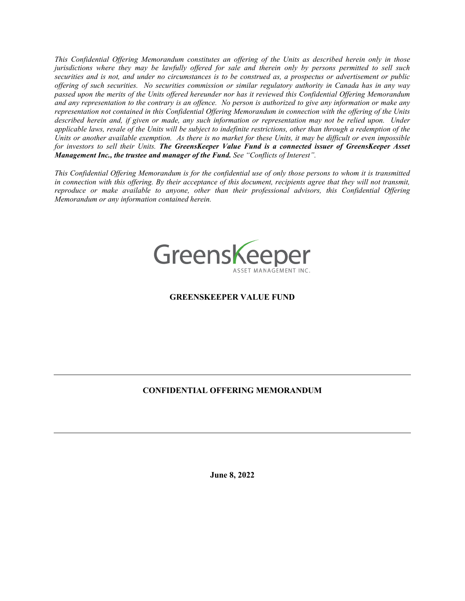*This Confidential Offering Memorandum constitutes an offering of the Units as described herein only in those jurisdictions where they may be lawfully offered for sale and therein only by persons permitted to sell such securities and is not, and under no circumstances is to be construed as, a prospectus or advertisement or public offering of such securities. No securities commission or similar regulatory authority in Canada has in any way passed upon the merits of the Units offered hereunder nor has it reviewed this Confidential Offering Memorandum and any representation to the contrary is an offence. No person is authorized to give any information or make any representation not contained in this Confidential Offering Memorandum in connection with the offering of the Units described herein and, if given or made, any such information or representation may not be relied upon. Under applicable laws, resale of the Units will be subject to indefinite restrictions, other than through a redemption of the Units or another available exemption. As there is no market for these Units, it may be difficult or even impossible for investors to sell their Units. The GreensKeeper Value Fund is a connected issuer of GreensKeeper Asset Management Inc., the trustee and manager of the Fund. See "Conflicts of Interest".* 

*This Confidential Offering Memorandum is for the confidential use of only those persons to whom it is transmitted in connection with this offering. By their acceptance of this document, recipients agree that they will not transmit, reproduce or make available to anyone, other than their professional advisors, this Confidential Offering Memorandum or any information contained herein.*



# **GREENSKEEPER VALUE FUND**

# **CONFIDENTIAL OFFERING MEMORANDUM**

**June 8, 2022**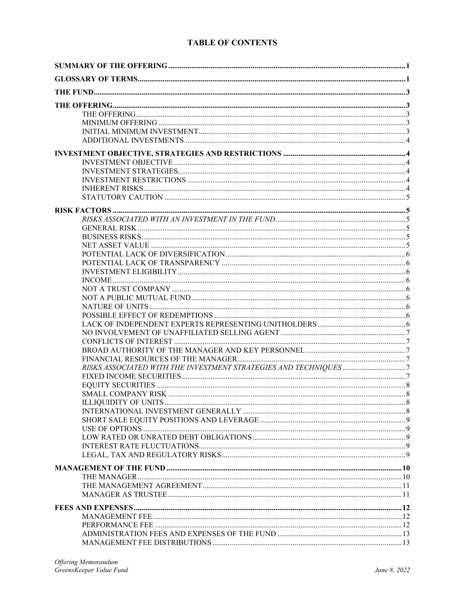# **TABLE OF CONTENTS**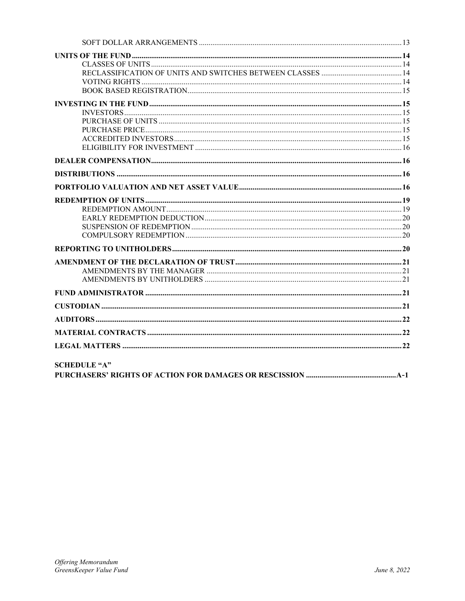| <b>SCHEDULE "A"</b> |  |
|---------------------|--|

| PURCHASERS' RIGHTS OF ACTION FOR DAMAGES OR RESCISSION …………………………………………………………………… |  |
|-----------------------------------------------------------------------------------|--|
|                                                                                   |  |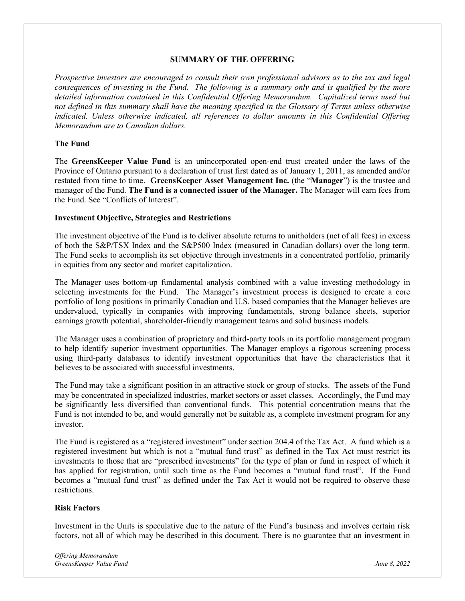#### **SUMMARY OF THE OFFERING**

*Prospective investors are encouraged to consult their own professional advisors as to the tax and legal consequences of investing in the Fund. The following is a summary only and is qualified by the more detailed information contained in this Confidential Offering Memorandum. Capitalized terms used but not defined in this summary shall have the meaning specified in the Glossary of Terms unless otherwise indicated. Unless otherwise indicated, all references to dollar amounts in this Confidential Offering Memorandum are to Canadian dollars.* 

### **The Fund**

The **GreensKeeper Value Fund** is an unincorporated open-end trust created under the laws of the Province of Ontario pursuant to a declaration of trust first dated as of January 1, 2011, as amended and/or restated from time to time. **GreensKeeper Asset Management Inc.** (the "**Manager**") is the trustee and manager of the Fund. **The Fund is a connected issuer of the Manager.** The Manager will earn fees from the Fund. See "Conflicts of Interest".

### **Investment Objective, Strategies and Restrictions**

The investment objective of the Fund is to deliver absolute returns to unitholders (net of all fees) in excess of both the S&P/TSX Index and the S&P500 Index (measured in Canadian dollars) over the long term. The Fund seeks to accomplish its set objective through investments in a concentrated portfolio, primarily in equities from any sector and market capitalization.

The Manager uses bottom-up fundamental analysis combined with a value investing methodology in selecting investments for the Fund. The Manager's investment process is designed to create a core portfolio of long positions in primarily Canadian and U.S. based companies that the Manager believes are undervalued, typically in companies with improving fundamentals, strong balance sheets, superior earnings growth potential, shareholder-friendly management teams and solid business models.

The Manager uses a combination of proprietary and third-party tools in its portfolio management program to help identify superior investment opportunities. The Manager employs a rigorous screening process using third-party databases to identify investment opportunities that have the characteristics that it believes to be associated with successful investments.

The Fund may take a significant position in an attractive stock or group of stocks. The assets of the Fund may be concentrated in specialized industries, market sectors or asset classes. Accordingly, the Fund may be significantly less diversified than conventional funds. This potential concentration means that the Fund is not intended to be, and would generally not be suitable as, a complete investment program for any investor.

The Fund is registered as a "registered investment" under section 204.4 of the Tax Act. A fund which is a registered investment but which is not a "mutual fund trust" as defined in the Tax Act must restrict its investments to those that are "prescribed investments" for the type of plan or fund in respect of which it has applied for registration, until such time as the Fund becomes a "mutual fund trust". If the Fund becomes a "mutual fund trust" as defined under the Tax Act it would not be required to observe these restrictions.

# **Risk Factors**

Investment in the Units is speculative due to the nature of the Fund's business and involves certain risk factors, not all of which may be described in this document. There is no guarantee that an investment in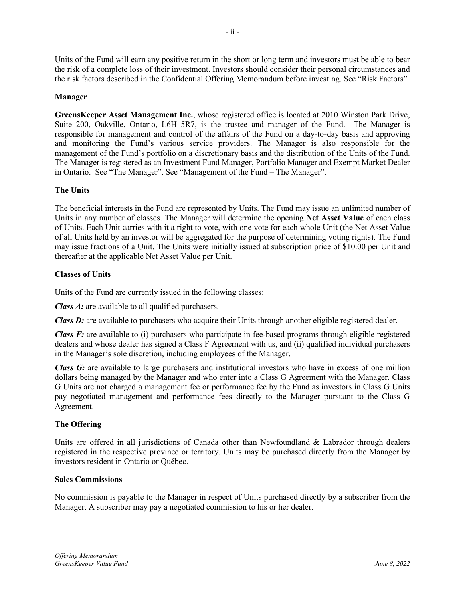Units of the Fund will earn any positive return in the short or long term and investors must be able to bear the risk of a complete loss of their investment. Investors should consider their personal circumstances and the risk factors described in the Confidential Offering Memorandum before investing. See "Risk Factors".

- ii -

# **Manager**

**GreensKeeper Asset Management Inc.**, whose registered office is located at 2010 Winston Park Drive, Suite 200, Oakville, Ontario, L6H 5R7, is the trustee and manager of the Fund. The Manager is responsible for management and control of the affairs of the Fund on a day-to-day basis and approving and monitoring the Fund's various service providers. The Manager is also responsible for the management of the Fund's portfolio on a discretionary basis and the distribution of the Units of the Fund. The Manager is registered as an Investment Fund Manager, Portfolio Manager and Exempt Market Dealer in Ontario. See "The Manager". See "Management of the Fund – The Manager".

# **The Units**

The beneficial interests in the Fund are represented by Units. The Fund may issue an unlimited number of Units in any number of classes. The Manager will determine the opening **Net Asset Value** of each class of Units. Each Unit carries with it a right to vote, with one vote for each whole Unit (the Net Asset Value of all Units held by an investor will be aggregated for the purpose of determining voting rights). The Fund may issue fractions of a Unit. The Units were initially issued at subscription price of \$10.00 per Unit and thereafter at the applicable Net Asset Value per Unit.

# **Classes of Units**

Units of the Fund are currently issued in the following classes:

*Class A:* are available to all qualified purchasers.

*Class D:* are available to purchasers who acquire their Units through another eligible registered dealer.

*Class F:* are available to (i) purchasers who participate in fee-based programs through eligible registered dealers and whose dealer has signed a Class F Agreement with us, and (ii) qualified individual purchasers in the Manager's sole discretion, including employees of the Manager.

*Class G:* are available to large purchasers and institutional investors who have in excess of one million dollars being managed by the Manager and who enter into a Class G Agreement with the Manager. Class G Units are not charged a management fee or performance fee by the Fund as investors in Class G Units pay negotiated management and performance fees directly to the Manager pursuant to the Class G Agreement.

# **The Offering**

Units are offered in all jurisdictions of Canada other than Newfoundland & Labrador through dealers registered in the respective province or territory. Units may be purchased directly from the Manager by investors resident in Ontario or Québec.

# **Sales Commissions**

No commission is payable to the Manager in respect of Units purchased directly by a subscriber from the Manager. A subscriber may pay a negotiated commission to his or her dealer.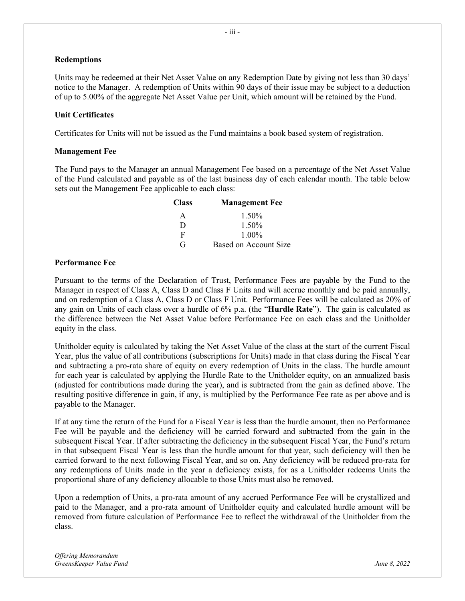### **Redemptions**

Units may be redeemed at their Net Asset Value on any Redemption Date by giving not less than 30 days' notice to the Manager. A redemption of Units within 90 days of their issue may be subject to a deduction of up to 5.00% of the aggregate Net Asset Value per Unit, which amount will be retained by the Fund.

### **Unit Certificates**

Certificates for Units will not be issued as the Fund maintains a book based system of registration.

#### **Management Fee**

The Fund pays to the Manager an annual Management Fee based on a percentage of the Net Asset Value of the Fund calculated and payable as of the last business day of each calendar month. The table below sets out the Management Fee applicable to each class:

| <b>Class</b> | <b>Management Fee</b> |
|--------------|-----------------------|
| A            | 1.50%                 |
| D            | 1.50%                 |
| F            | $1.00\%$              |
| G            | Based on Account Size |

### **Performance Fee**

Pursuant to the terms of the Declaration of Trust, Performance Fees are payable by the Fund to the Manager in respect of Class A, Class D and Class F Units and will accrue monthly and be paid annually, and on redemption of a Class A, Class D or Class F Unit. Performance Fees will be calculated as 20% of any gain on Units of each class over a hurdle of 6% p.a. (the "**Hurdle Rate**"). The gain is calculated as the difference between the Net Asset Value before Performance Fee on each class and the Unitholder equity in the class.

Unitholder equity is calculated by taking the Net Asset Value of the class at the start of the current Fiscal Year, plus the value of all contributions (subscriptions for Units) made in that class during the Fiscal Year and subtracting a pro-rata share of equity on every redemption of Units in the class. The hurdle amount for each year is calculated by applying the Hurdle Rate to the Unitholder equity, on an annualized basis (adjusted for contributions made during the year), and is subtracted from the gain as defined above. The resulting positive difference in gain, if any, is multiplied by the Performance Fee rate as per above and is payable to the Manager.

If at any time the return of the Fund for a Fiscal Year is less than the hurdle amount, then no Performance Fee will be payable and the deficiency will be carried forward and subtracted from the gain in the subsequent Fiscal Year. If after subtracting the deficiency in the subsequent Fiscal Year, the Fund's return in that subsequent Fiscal Year is less than the hurdle amount for that year, such deficiency will then be carried forward to the next following Fiscal Year, and so on. Any deficiency will be reduced pro-rata for any redemptions of Units made in the year a deficiency exists, for as a Unitholder redeems Units the proportional share of any deficiency allocable to those Units must also be removed.

Upon a redemption of Units, a pro-rata amount of any accrued Performance Fee will be crystallized and paid to the Manager, and a pro-rata amount of Unitholder equity and calculated hurdle amount will be removed from future calculation of Performance Fee to reflect the withdrawal of the Unitholder from the class.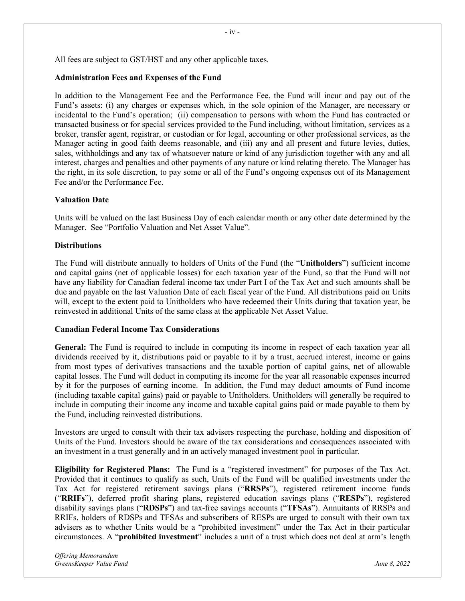All fees are subject to GST/HST and any other applicable taxes.

#### **Administration Fees and Expenses of the Fund**

In addition to the Management Fee and the Performance Fee, the Fund will incur and pay out of the Fund's assets: (i) any charges or expenses which, in the sole opinion of the Manager, are necessary or incidental to the Fund's operation; (ii) compensation to persons with whom the Fund has contracted or transacted business or for special services provided to the Fund including, without limitation, services as a broker, transfer agent, registrar, or custodian or for legal, accounting or other professional services, as the Manager acting in good faith deems reasonable, and (iii) any and all present and future levies, duties, sales, withholdings and any tax of whatsoever nature or kind of any jurisdiction together with any and all interest, charges and penalties and other payments of any nature or kind relating thereto. The Manager has the right, in its sole discretion, to pay some or all of the Fund's ongoing expenses out of its Management Fee and/or the Performance Fee.

#### **Valuation Date**

Units will be valued on the last Business Day of each calendar month or any other date determined by the Manager. See "Portfolio Valuation and Net Asset Value".

#### **Distributions**

The Fund will distribute annually to holders of Units of the Fund (the "**Unitholders**") sufficient income and capital gains (net of applicable losses) for each taxation year of the Fund, so that the Fund will not have any liability for Canadian federal income tax under Part I of the Tax Act and such amounts shall be due and payable on the last Valuation Date of each fiscal year of the Fund. All distributions paid on Units will, except to the extent paid to Unitholders who have redeemed their Units during that taxation year, be reinvested in additional Units of the same class at the applicable Net Asset Value.

#### **Canadian Federal Income Tax Considerations**

**General:** The Fund is required to include in computing its income in respect of each taxation year all dividends received by it, distributions paid or payable to it by a trust, accrued interest, income or gains from most types of derivatives transactions and the taxable portion of capital gains, net of allowable capital losses. The Fund will deduct in computing its income for the year all reasonable expenses incurred by it for the purposes of earning income. In addition, the Fund may deduct amounts of Fund income (including taxable capital gains) paid or payable to Unitholders. Unitholders will generally be required to include in computing their income any income and taxable capital gains paid or made payable to them by the Fund, including reinvested distributions.

Investors are urged to consult with their tax advisers respecting the purchase, holding and disposition of Units of the Fund. Investors should be aware of the tax considerations and consequences associated with an investment in a trust generally and in an actively managed investment pool in particular.

**Eligibility for Registered Plans:** The Fund is a "registered investment" for purposes of the Tax Act. Provided that it continues to qualify as such, Units of the Fund will be qualified investments under the Tax Act for registered retirement savings plans ("**RRSPs**"), registered retirement income funds ("**RRIFs**"), deferred profit sharing plans, registered education savings plans ("**RESPs**"), registered disability savings plans ("**RDSPs**") and tax-free savings accounts ("**TFSAs**"). Annuitants of RRSPs and RRIFs, holders of RDSPs and TFSAs and subscribers of RESPs are urged to consult with their own tax advisers as to whether Units would be a "prohibited investment" under the Tax Act in their particular circumstances. A "**prohibited investment**" includes a unit of a trust which does not deal at arm's length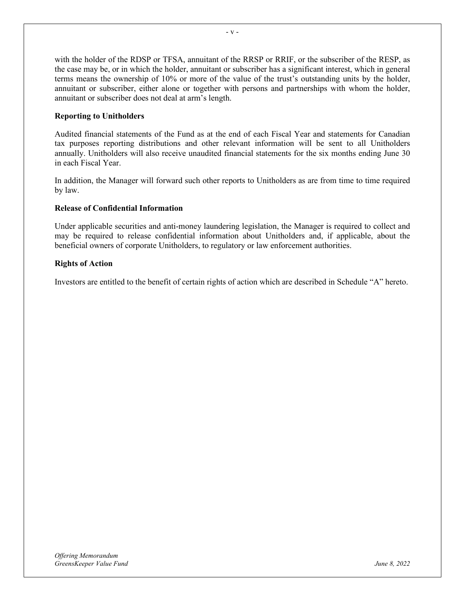with the holder of the RDSP or TFSA, annuitant of the RRSP or RRIF, or the subscriber of the RESP, as the case may be, or in which the holder, annuitant or subscriber has a significant interest, which in general terms means the ownership of 10% or more of the value of the trust's outstanding units by the holder, annuitant or subscriber, either alone or together with persons and partnerships with whom the holder, annuitant or subscriber does not deal at arm's length.

# **Reporting to Unitholders**

Audited financial statements of the Fund as at the end of each Fiscal Year and statements for Canadian tax purposes reporting distributions and other relevant information will be sent to all Unitholders annually. Unitholders will also receive unaudited financial statements for the six months ending June 30 in each Fiscal Year.

In addition, the Manager will forward such other reports to Unitholders as are from time to time required by law.

# **Release of Confidential Information**

Under applicable securities and anti-money laundering legislation, the Manager is required to collect and may be required to release confidential information about Unitholders and, if applicable, about the beneficial owners of corporate Unitholders, to regulatory or law enforcement authorities.

# **Rights of Action**

Investors are entitled to the benefit of certain rights of action which are described in Schedule "A" hereto.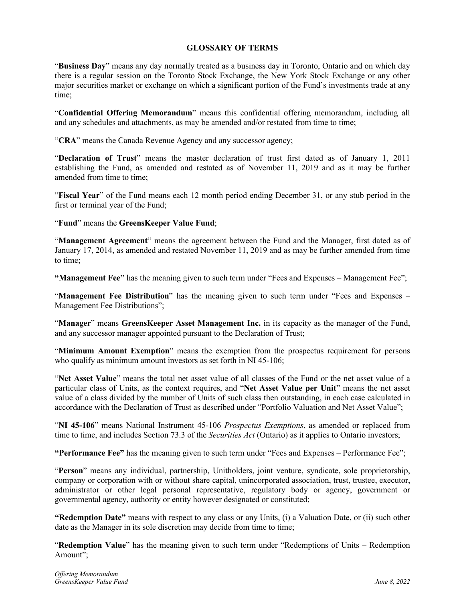# **GLOSSARY OF TERMS**

"**Business Day**" means any day normally treated as a business day in Toronto, Ontario and on which day there is a regular session on the Toronto Stock Exchange, the New York Stock Exchange or any other major securities market or exchange on which a significant portion of the Fund's investments trade at any time;

"**Confidential Offering Memorandum**" means this confidential offering memorandum, including all and any schedules and attachments, as may be amended and/or restated from time to time;

"**CRA**" means the Canada Revenue Agency and any successor agency;

"**Declaration of Trust**" means the master declaration of trust first dated as of January 1, 2011 establishing the Fund, as amended and restated as of November 11, 2019 and as it may be further amended from time to time;

"**Fiscal Year**" of the Fund means each 12 month period ending December 31, or any stub period in the first or terminal year of the Fund;

"**Fund**" means the **GreensKeeper Value Fund**;

"**Management Agreement**" means the agreement between the Fund and the Manager, first dated as of January 17, 2014, as amended and restated November 11, 2019 and as may be further amended from time to time;

**"Management Fee"** has the meaning given to such term under "Fees and Expenses – Management Fee";

"Management Fee Distribution" has the meaning given to such term under "Fees and Expenses – Management Fee Distributions";

"**Manager**" means **GreensKeeper Asset Management Inc.** in its capacity as the manager of the Fund, and any successor manager appointed pursuant to the Declaration of Trust;

"**Minimum Amount Exemption**" means the exemption from the prospectus requirement for persons who qualify as minimum amount investors as set forth in NI 45-106:

"**Net Asset Value**" means the total net asset value of all classes of the Fund or the net asset value of a particular class of Units, as the context requires, and "**Net Asset Value per Unit**" means the net asset value of a class divided by the number of Units of such class then outstanding, in each case calculated in accordance with the Declaration of Trust as described under "Portfolio Valuation and Net Asset Value";

"**NI 45-106**" means National Instrument 45-106 *Prospectus Exemptions*, as amended or replaced from time to time, and includes Section 73.3 of the *Securities Act* (Ontario) as it applies to Ontario investors;

**"Performance Fee"** has the meaning given to such term under "Fees and Expenses – Performance Fee";

"**Person**" means any individual, partnership, Unitholders, joint venture, syndicate, sole proprietorship, company or corporation with or without share capital, unincorporated association, trust, trustee, executor, administrator or other legal personal representative, regulatory body or agency, government or governmental agency, authority or entity however designated or constituted;

**"Redemption Date"** means with respect to any class or any Units, (i) a Valuation Date, or (ii) such other date as the Manager in its sole discretion may decide from time to time;

"**Redemption Value**" has the meaning given to such term under "Redemptions of Units – Redemption Amount";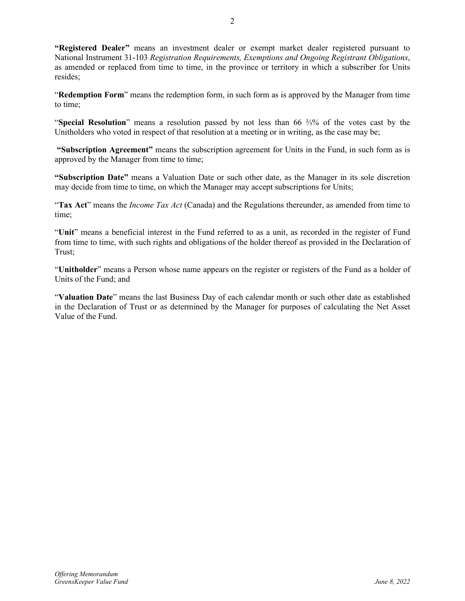**"Registered Dealer"** means an investment dealer or exempt market dealer registered pursuant to National Instrument 31-103 *Registration Requirements, Exemptions and Ongoing Registrant Obligations*, as amended or replaced from time to time, in the province or territory in which a subscriber for Units resides;

"**Redemption Form**" means the redemption form, in such form as is approved by the Manager from time to time;

"**Special Resolution**" means a resolution passed by not less than 66 ⅔% of the votes cast by the Unitholders who voted in respect of that resolution at a meeting or in writing, as the case may be;

**"Subscription Agreement"** means the subscription agreement for Units in the Fund, in such form as is approved by the Manager from time to time;

**"Subscription Date"** means a Valuation Date or such other date, as the Manager in its sole discretion may decide from time to time, on which the Manager may accept subscriptions for Units;

"**Tax Act**" means the *Income Tax Act* (Canada) and the Regulations thereunder, as amended from time to time;

"**Unit**" means a beneficial interest in the Fund referred to as a unit, as recorded in the register of Fund from time to time, with such rights and obligations of the holder thereof as provided in the Declaration of Trust;

"**Unitholder**" means a Person whose name appears on the register or registers of the Fund as a holder of Units of the Fund; and

"**Valuation Date**" means the last Business Day of each calendar month or such other date as established in the Declaration of Trust or as determined by the Manager for purposes of calculating the Net Asset Value of the Fund.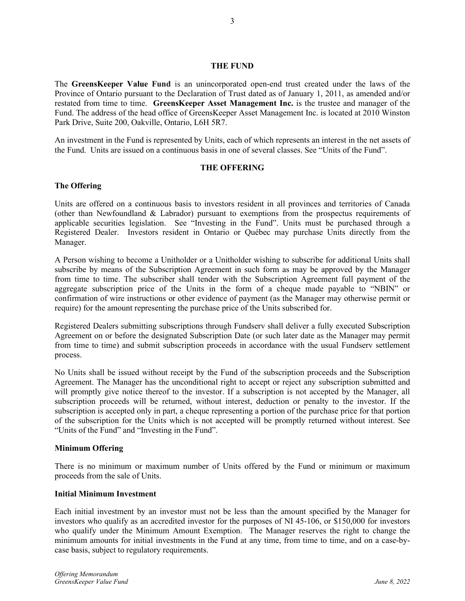#### **THE FUND**

The **GreensKeeper Value Fund** is an unincorporated open-end trust created under the laws of the Province of Ontario pursuant to the Declaration of Trust dated as of January 1, 2011, as amended and/or restated from time to time. **GreensKeeper Asset Management Inc.** is the trustee and manager of the Fund. The address of the head office of GreensKeeper Asset Management Inc. is located at 2010 Winston Park Drive, Suite 200, Oakville, Ontario, L6H 5R7.

An investment in the Fund is represented by Units, each of which represents an interest in the net assets of the Fund. Units are issued on a continuous basis in one of several classes. See "Units of the Fund".

### **THE OFFERING**

### **The Offering**

Units are offered on a continuous basis to investors resident in all provinces and territories of Canada (other than Newfoundland & Labrador) pursuant to exemptions from the prospectus requirements of applicable securities legislation. See "Investing in the Fund". Units must be purchased through a Registered Dealer. Investors resident in Ontario or Québec may purchase Units directly from the Manager.

A Person wishing to become a Unitholder or a Unitholder wishing to subscribe for additional Units shall subscribe by means of the Subscription Agreement in such form as may be approved by the Manager from time to time. The subscriber shall tender with the Subscription Agreement full payment of the aggregate subscription price of the Units in the form of a cheque made payable to "NBIN" or confirmation of wire instructions or other evidence of payment (as the Manager may otherwise permit or require) for the amount representing the purchase price of the Units subscribed for.

Registered Dealers submitting subscriptions through Fundserv shall deliver a fully executed Subscription Agreement on or before the designated Subscription Date (or such later date as the Manager may permit from time to time) and submit subscription proceeds in accordance with the usual Fundserv settlement process.

No Units shall be issued without receipt by the Fund of the subscription proceeds and the Subscription Agreement. The Manager has the unconditional right to accept or reject any subscription submitted and will promptly give notice thereof to the investor. If a subscription is not accepted by the Manager, all subscription proceeds will be returned, without interest, deduction or penalty to the investor. If the subscription is accepted only in part, a cheque representing a portion of the purchase price for that portion of the subscription for the Units which is not accepted will be promptly returned without interest. See "Units of the Fund" and "Investing in the Fund".

# **Minimum Offering**

There is no minimum or maximum number of Units offered by the Fund or minimum or maximum proceeds from the sale of Units.

### **Initial Minimum Investment**

Each initial investment by an investor must not be less than the amount specified by the Manager for investors who qualify as an accredited investor for the purposes of NI 45-106, or \$150,000 for investors who qualify under the Minimum Amount Exemption. The Manager reserves the right to change the minimum amounts for initial investments in the Fund at any time, from time to time, and on a case-bycase basis, subject to regulatory requirements.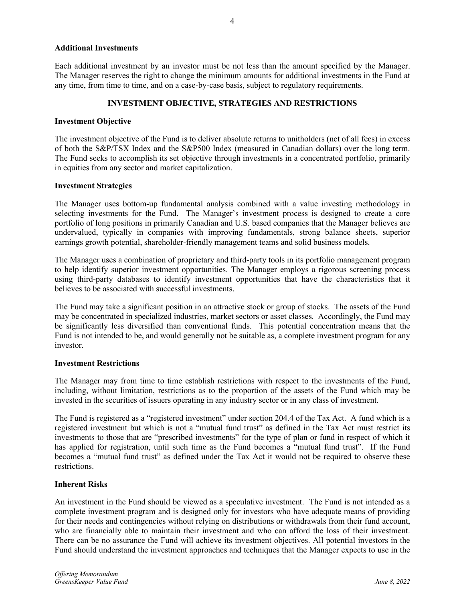### **Additional Investments**

Each additional investment by an investor must be not less than the amount specified by the Manager. The Manager reserves the right to change the minimum amounts for additional investments in the Fund at any time, from time to time, and on a case-by-case basis, subject to regulatory requirements.

4

# **INVESTMENT OBJECTIVE, STRATEGIES AND RESTRICTIONS**

### **Investment Objective**

The investment objective of the Fund is to deliver absolute returns to unitholders (net of all fees) in excess of both the S&P/TSX Index and the S&P500 Index (measured in Canadian dollars) over the long term. The Fund seeks to accomplish its set objective through investments in a concentrated portfolio, primarily in equities from any sector and market capitalization.

### **Investment Strategies**

The Manager uses bottom-up fundamental analysis combined with a value investing methodology in selecting investments for the Fund. The Manager's investment process is designed to create a core portfolio of long positions in primarily Canadian and U.S. based companies that the Manager believes are undervalued, typically in companies with improving fundamentals, strong balance sheets, superior earnings growth potential, shareholder-friendly management teams and solid business models.

The Manager uses a combination of proprietary and third-party tools in its portfolio management program to help identify superior investment opportunities. The Manager employs a rigorous screening process using third-party databases to identify investment opportunities that have the characteristics that it believes to be associated with successful investments.

The Fund may take a significant position in an attractive stock or group of stocks. The assets of the Fund may be concentrated in specialized industries, market sectors or asset classes. Accordingly, the Fund may be significantly less diversified than conventional funds. This potential concentration means that the Fund is not intended to be, and would generally not be suitable as, a complete investment program for any investor.

### **Investment Restrictions**

The Manager may from time to time establish restrictions with respect to the investments of the Fund, including, without limitation, restrictions as to the proportion of the assets of the Fund which may be invested in the securities of issuers operating in any industry sector or in any class of investment.

The Fund is registered as a "registered investment" under section 204.4 of the Tax Act. A fund which is a registered investment but which is not a "mutual fund trust" as defined in the Tax Act must restrict its investments to those that are "prescribed investments" for the type of plan or fund in respect of which it has applied for registration, until such time as the Fund becomes a "mutual fund trust". If the Fund becomes a "mutual fund trust" as defined under the Tax Act it would not be required to observe these restrictions.

### **Inherent Risks**

An investment in the Fund should be viewed as a speculative investment. The Fund is not intended as a complete investment program and is designed only for investors who have adequate means of providing for their needs and contingencies without relying on distributions or withdrawals from their fund account, who are financially able to maintain their investment and who can afford the loss of their investment. There can be no assurance the Fund will achieve its investment objectives. All potential investors in the Fund should understand the investment approaches and techniques that the Manager expects to use in the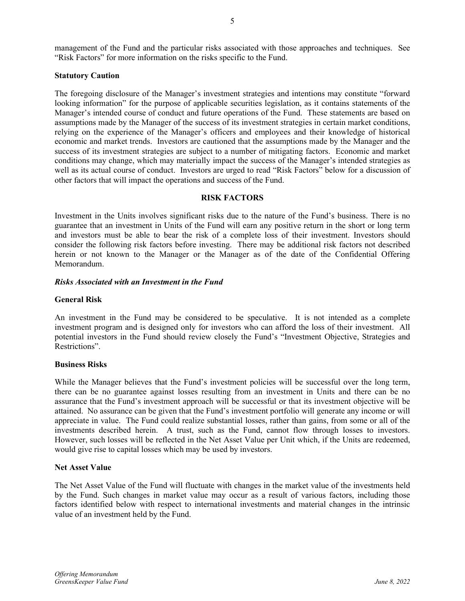management of the Fund and the particular risks associated with those approaches and techniques. See "Risk Factors" for more information on the risks specific to the Fund.

### **Statutory Caution**

The foregoing disclosure of the Manager's investment strategies and intentions may constitute "forward looking information" for the purpose of applicable securities legislation, as it contains statements of the Manager's intended course of conduct and future operations of the Fund. These statements are based on assumptions made by the Manager of the success of its investment strategies in certain market conditions, relying on the experience of the Manager's officers and employees and their knowledge of historical economic and market trends. Investors are cautioned that the assumptions made by the Manager and the success of its investment strategies are subject to a number of mitigating factors. Economic and market conditions may change, which may materially impact the success of the Manager's intended strategies as well as its actual course of conduct. Investors are urged to read "Risk Factors" below for a discussion of other factors that will impact the operations and success of the Fund.

### **RISK FACTORS**

Investment in the Units involves significant risks due to the nature of the Fund's business. There is no guarantee that an investment in Units of the Fund will earn any positive return in the short or long term and investors must be able to bear the risk of a complete loss of their investment. Investors should consider the following risk factors before investing. There may be additional risk factors not described herein or not known to the Manager or the Manager as of the date of the Confidential Offering Memorandum.

### *Risks Associated with an Investment in the Fund*

### **General Risk**

An investment in the Fund may be considered to be speculative. It is not intended as a complete investment program and is designed only for investors who can afford the loss of their investment. All potential investors in the Fund should review closely the Fund's "Investment Objective, Strategies and Restrictions".

#### **Business Risks**

While the Manager believes that the Fund's investment policies will be successful over the long term, there can be no guarantee against losses resulting from an investment in Units and there can be no assurance that the Fund's investment approach will be successful or that its investment objective will be attained. No assurance can be given that the Fund's investment portfolio will generate any income or will appreciate in value. The Fund could realize substantial losses, rather than gains, from some or all of the investments described herein. A trust, such as the Fund, cannot flow through losses to investors. However, such losses will be reflected in the Net Asset Value per Unit which, if the Units are redeemed, would give rise to capital losses which may be used by investors.

### **Net Asset Value**

The Net Asset Value of the Fund will fluctuate with changes in the market value of the investments held by the Fund. Such changes in market value may occur as a result of various factors, including those factors identified below with respect to international investments and material changes in the intrinsic value of an investment held by the Fund.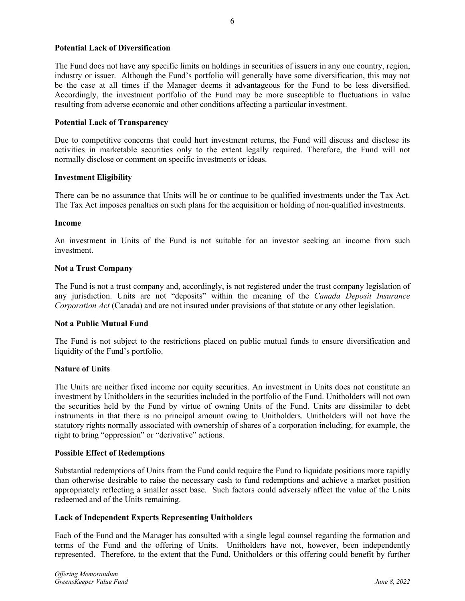# **Potential Lack of Diversification**

The Fund does not have any specific limits on holdings in securities of issuers in any one country, region, industry or issuer. Although the Fund's portfolio will generally have some diversification, this may not be the case at all times if the Manager deems it advantageous for the Fund to be less diversified. Accordingly, the investment portfolio of the Fund may be more susceptible to fluctuations in value resulting from adverse economic and other conditions affecting a particular investment.

#### **Potential Lack of Transparency**

Due to competitive concerns that could hurt investment returns, the Fund will discuss and disclose its activities in marketable securities only to the extent legally required. Therefore, the Fund will not normally disclose or comment on specific investments or ideas.

#### **Investment Eligibility**

There can be no assurance that Units will be or continue to be qualified investments under the Tax Act. The Tax Act imposes penalties on such plans for the acquisition or holding of non-qualified investments.

#### **Income**

An investment in Units of the Fund is not suitable for an investor seeking an income from such investment.

### **Not a Trust Company**

The Fund is not a trust company and, accordingly, is not registered under the trust company legislation of any jurisdiction. Units are not "deposits" within the meaning of the *Canada Deposit Insurance Corporation Act* (Canada) and are not insured under provisions of that statute or any other legislation.

#### **Not a Public Mutual Fund**

The Fund is not subject to the restrictions placed on public mutual funds to ensure diversification and liquidity of the Fund's portfolio.

#### **Nature of Units**

The Units are neither fixed income nor equity securities. An investment in Units does not constitute an investment by Unitholders in the securities included in the portfolio of the Fund. Unitholders will not own the securities held by the Fund by virtue of owning Units of the Fund. Units are dissimilar to debt instruments in that there is no principal amount owing to Unitholders. Unitholders will not have the statutory rights normally associated with ownership of shares of a corporation including, for example, the right to bring "oppression" or "derivative" actions.

#### **Possible Effect of Redemptions**

Substantial redemptions of Units from the Fund could require the Fund to liquidate positions more rapidly than otherwise desirable to raise the necessary cash to fund redemptions and achieve a market position appropriately reflecting a smaller asset base. Such factors could adversely affect the value of the Units redeemed and of the Units remaining.

#### **Lack of Independent Experts Representing Unitholders**

Each of the Fund and the Manager has consulted with a single legal counsel regarding the formation and terms of the Fund and the offering of Units. Unitholders have not, however, been independently represented. Therefore, to the extent that the Fund, Unitholders or this offering could benefit by further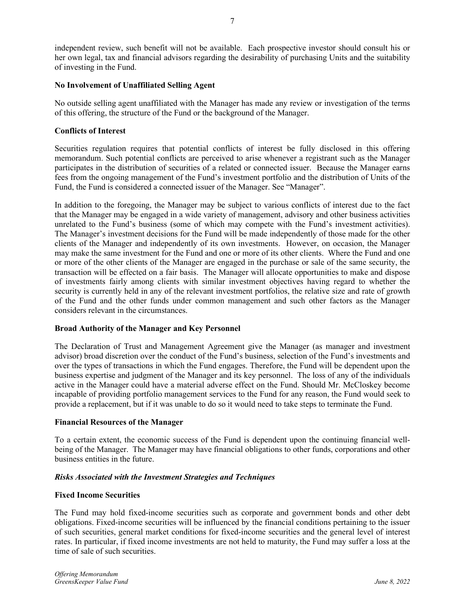independent review, such benefit will not be available. Each prospective investor should consult his or her own legal, tax and financial advisors regarding the desirability of purchasing Units and the suitability of investing in the Fund.

# **No Involvement of Unaffiliated Selling Agent**

No outside selling agent unaffiliated with the Manager has made any review or investigation of the terms of this offering, the structure of the Fund or the background of the Manager.

# **Conflicts of Interest**

Securities regulation requires that potential conflicts of interest be fully disclosed in this offering memorandum. Such potential conflicts are perceived to arise whenever a registrant such as the Manager participates in the distribution of securities of a related or connected issuer. Because the Manager earns fees from the ongoing management of the Fund's investment portfolio and the distribution of Units of the Fund, the Fund is considered a connected issuer of the Manager. See "Manager".

In addition to the foregoing, the Manager may be subject to various conflicts of interest due to the fact that the Manager may be engaged in a wide variety of management, advisory and other business activities unrelated to the Fund's business (some of which may compete with the Fund's investment activities). The Manager's investment decisions for the Fund will be made independently of those made for the other clients of the Manager and independently of its own investments. However, on occasion, the Manager may make the same investment for the Fund and one or more of its other clients. Where the Fund and one or more of the other clients of the Manager are engaged in the purchase or sale of the same security, the transaction will be effected on a fair basis. The Manager will allocate opportunities to make and dispose of investments fairly among clients with similar investment objectives having regard to whether the security is currently held in any of the relevant investment portfolios, the relative size and rate of growth of the Fund and the other funds under common management and such other factors as the Manager considers relevant in the circumstances.

# **Broad Authority of the Manager and Key Personnel**

The Declaration of Trust and Management Agreement give the Manager (as manager and investment advisor) broad discretion over the conduct of the Fund's business, selection of the Fund's investments and over the types of transactions in which the Fund engages. Therefore, the Fund will be dependent upon the business expertise and judgment of the Manager and its key personnel. The loss of any of the individuals active in the Manager could have a material adverse effect on the Fund. Should Mr. McCloskey become incapable of providing portfolio management services to the Fund for any reason, the Fund would seek to provide a replacement, but if it was unable to do so it would need to take steps to terminate the Fund.

# **Financial Resources of the Manager**

To a certain extent, the economic success of the Fund is dependent upon the continuing financial wellbeing of the Manager. The Manager may have financial obligations to other funds, corporations and other business entities in the future.

#### *Risks Associated with the Investment Strategies and Techniques*

#### **Fixed Income Securities**

The Fund may hold fixed-income securities such as corporate and government bonds and other debt obligations. Fixed-income securities will be influenced by the financial conditions pertaining to the issuer of such securities, general market conditions for fixed-income securities and the general level of interest rates. In particular, if fixed income investments are not held to maturity, the Fund may suffer a loss at the time of sale of such securities.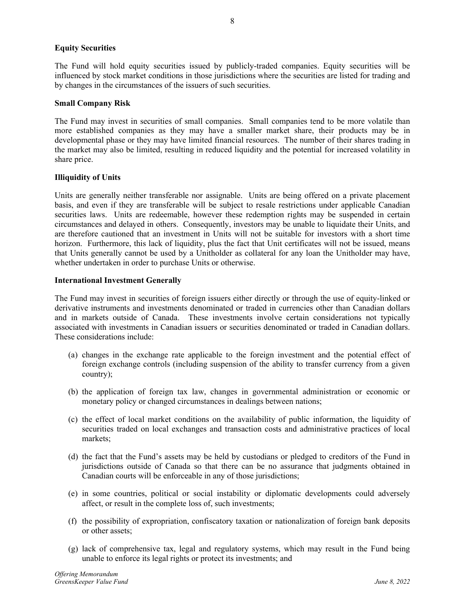# **Equity Securities**

The Fund will hold equity securities issued by publicly-traded companies. Equity securities will be influenced by stock market conditions in those jurisdictions where the securities are listed for trading and by changes in the circumstances of the issuers of such securities.

#### **Small Company Risk**

The Fund may invest in securities of small companies. Small companies tend to be more volatile than more established companies as they may have a smaller market share, their products may be in developmental phase or they may have limited financial resources. The number of their shares trading in the market may also be limited, resulting in reduced liquidity and the potential for increased volatility in share price.

### **Illiquidity of Units**

Units are generally neither transferable nor assignable. Units are being offered on a private placement basis, and even if they are transferable will be subject to resale restrictions under applicable Canadian securities laws. Units are redeemable, however these redemption rights may be suspended in certain circumstances and delayed in others. Consequently, investors may be unable to liquidate their Units, and are therefore cautioned that an investment in Units will not be suitable for investors with a short time horizon. Furthermore, this lack of liquidity, plus the fact that Unit certificates will not be issued, means that Units generally cannot be used by a Unitholder as collateral for any loan the Unitholder may have, whether undertaken in order to purchase Units or otherwise.

#### **International Investment Generally**

The Fund may invest in securities of foreign issuers either directly or through the use of equity-linked or derivative instruments and investments denominated or traded in currencies other than Canadian dollars and in markets outside of Canada. These investments involve certain considerations not typically associated with investments in Canadian issuers or securities denominated or traded in Canadian dollars. These considerations include:

- (a) changes in the exchange rate applicable to the foreign investment and the potential effect of foreign exchange controls (including suspension of the ability to transfer currency from a given country);
- (b) the application of foreign tax law, changes in governmental administration or economic or monetary policy or changed circumstances in dealings between nations;
- (c) the effect of local market conditions on the availability of public information, the liquidity of securities traded on local exchanges and transaction costs and administrative practices of local markets;
- (d) the fact that the Fund's assets may be held by custodians or pledged to creditors of the Fund in jurisdictions outside of Canada so that there can be no assurance that judgments obtained in Canadian courts will be enforceable in any of those jurisdictions;
- (e) in some countries, political or social instability or diplomatic developments could adversely affect, or result in the complete loss of, such investments;
- (f) the possibility of expropriation, confiscatory taxation or nationalization of foreign bank deposits or other assets;
- (g) lack of comprehensive tax, legal and regulatory systems, which may result in the Fund being unable to enforce its legal rights or protect its investments; and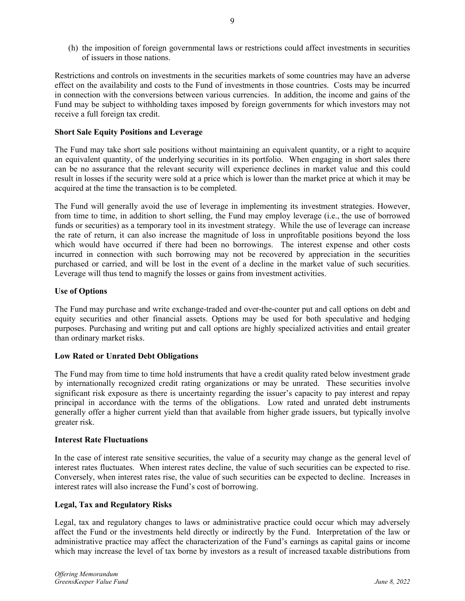(h) the imposition of foreign governmental laws or restrictions could affect investments in securities of issuers in those nations.

Restrictions and controls on investments in the securities markets of some countries may have an adverse effect on the availability and costs to the Fund of investments in those countries. Costs may be incurred in connection with the conversions between various currencies. In addition, the income and gains of the Fund may be subject to withholding taxes imposed by foreign governments for which investors may not receive a full foreign tax credit.

# **Short Sale Equity Positions and Leverage**

The Fund may take short sale positions without maintaining an equivalent quantity, or a right to acquire an equivalent quantity, of the underlying securities in its portfolio. When engaging in short sales there can be no assurance that the relevant security will experience declines in market value and this could result in losses if the security were sold at a price which is lower than the market price at which it may be acquired at the time the transaction is to be completed.

The Fund will generally avoid the use of leverage in implementing its investment strategies. However, from time to time, in addition to short selling, the Fund may employ leverage (i.e., the use of borrowed funds or securities) as a temporary tool in its investment strategy. While the use of leverage can increase the rate of return, it can also increase the magnitude of loss in unprofitable positions beyond the loss which would have occurred if there had been no borrowings. The interest expense and other costs incurred in connection with such borrowing may not be recovered by appreciation in the securities purchased or carried, and will be lost in the event of a decline in the market value of such securities. Leverage will thus tend to magnify the losses or gains from investment activities.

# **Use of Options**

The Fund may purchase and write exchange-traded and over-the-counter put and call options on debt and equity securities and other financial assets. Options may be used for both speculative and hedging purposes. Purchasing and writing put and call options are highly specialized activities and entail greater than ordinary market risks.

# **Low Rated or Unrated Debt Obligations**

The Fund may from time to time hold instruments that have a credit quality rated below investment grade by internationally recognized credit rating organizations or may be unrated. These securities involve significant risk exposure as there is uncertainty regarding the issuer's capacity to pay interest and repay principal in accordance with the terms of the obligations. Low rated and unrated debt instruments generally offer a higher current yield than that available from higher grade issuers, but typically involve greater risk.

# **Interest Rate Fluctuations**

In the case of interest rate sensitive securities, the value of a security may change as the general level of interest rates fluctuates. When interest rates decline, the value of such securities can be expected to rise. Conversely, when interest rates rise, the value of such securities can be expected to decline. Increases in interest rates will also increase the Fund's cost of borrowing.

# **Legal, Tax and Regulatory Risks**

Legal, tax and regulatory changes to laws or administrative practice could occur which may adversely affect the Fund or the investments held directly or indirectly by the Fund. Interpretation of the law or administrative practice may affect the characterization of the Fund's earnings as capital gains or income which may increase the level of tax borne by investors as a result of increased taxable distributions from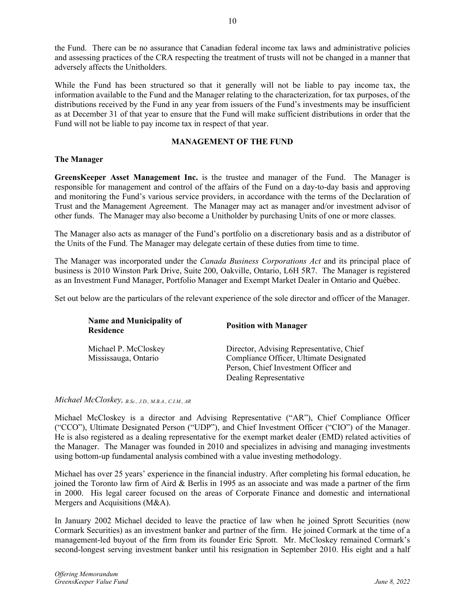the Fund. There can be no assurance that Canadian federal income tax laws and administrative policies and assessing practices of the CRA respecting the treatment of trusts will not be changed in a manner that adversely affects the Unitholders.

While the Fund has been structured so that it generally will not be liable to pay income tax, the information available to the Fund and the Manager relating to the characterization, for tax purposes, of the distributions received by the Fund in any year from issuers of the Fund's investments may be insufficient as at December 31 of that year to ensure that the Fund will make sufficient distributions in order that the Fund will not be liable to pay income tax in respect of that year.

# **MANAGEMENT OF THE FUND**

# **The Manager**

**GreensKeeper Asset Management Inc.** is the trustee and manager of the Fund. The Manager is responsible for management and control of the affairs of the Fund on a day-to-day basis and approving and monitoring the Fund's various service providers, in accordance with the terms of the Declaration of Trust and the Management Agreement. The Manager may act as manager and/or investment advisor of other funds. The Manager may also become a Unitholder by purchasing Units of one or more classes.

The Manager also acts as manager of the Fund's portfolio on a discretionary basis and as a distributor of the Units of the Fund. The Manager may delegate certain of these duties from time to time.

The Manager was incorporated under the *Canada Business Corporations Act* and its principal place of business is 2010 Winston Park Drive, Suite 200, Oakville, Ontario, L6H 5R7. The Manager is registered as an Investment Fund Manager, Portfolio Manager and Exempt Market Dealer in Ontario and Québec.

Set out below are the particulars of the relevant experience of the sole director and officer of the Manager.

| <b>Name and Municipality of</b><br><b>Residence</b> | <b>Position with Manager</b>                                                                                                                          |
|-----------------------------------------------------|-------------------------------------------------------------------------------------------------------------------------------------------------------|
| Michael P. McCloskey<br>Mississauga, Ontario        | Director, Advising Representative, Chief<br>Compliance Officer, Ultimate Designated<br>Person, Chief Investment Officer and<br>Dealing Representative |

*Michael McCloskey, B.Sc., J.D., M.B.A., C.I.M., AR*

Michael McCloskey is a director and Advising Representative ("AR"), Chief Compliance Officer ("CCO"), Ultimate Designated Person ("UDP"), and Chief Investment Officer ("CIO") of the Manager. He is also registered as a dealing representative for the exempt market dealer (EMD) related activities of the Manager. The Manager was founded in 2010 and specializes in advising and managing investments using bottom-up fundamental analysis combined with a value investing methodology.

Michael has over 25 years' experience in the financial industry. After completing his formal education, he joined the Toronto law firm of Aird & Berlis in 1995 as an associate and was made a partner of the firm in 2000. His legal career focused on the areas of Corporate Finance and domestic and international Mergers and Acquisitions (M&A).

In January 2002 Michael decided to leave the practice of law when he joined Sprott Securities (now Cormark Securities) as an investment banker and partner of the firm. He joined Cormark at the time of a management-led buyout of the firm from its founder Eric Sprott. Mr. McCloskey remained Cormark's second-longest serving investment banker until his resignation in September 2010. His eight and a half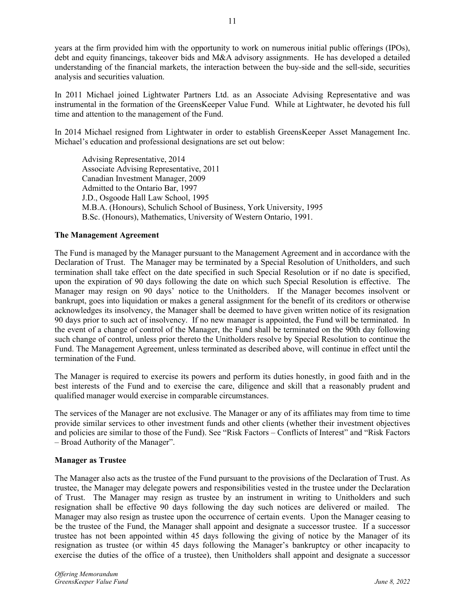years at the firm provided him with the opportunity to work on numerous initial public offerings (IPOs), debt and equity financings, takeover bids and M&A advisory assignments. He has developed a detailed understanding of the financial markets, the interaction between the buy-side and the sell-side, securities analysis and securities valuation.

In 2011 Michael joined Lightwater Partners Ltd. as an Associate Advising Representative and was instrumental in the formation of the GreensKeeper Value Fund. While at Lightwater, he devoted his full time and attention to the management of the Fund.

In 2014 Michael resigned from Lightwater in order to establish GreensKeeper Asset Management Inc. Michael's education and professional designations are set out below:

Advising Representative, 2014 Associate Advising Representative, 2011 Canadian Investment Manager, 2009 Admitted to the Ontario Bar, 1997 J.D., Osgoode Hall Law School, 1995 M.B.A. (Honours), Schulich School of Business, York University, 1995 B.Sc. (Honours), Mathematics, University of Western Ontario, 1991.

### **The Management Agreement**

The Fund is managed by the Manager pursuant to the Management Agreement and in accordance with the Declaration of Trust. The Manager may be terminated by a Special Resolution of Unitholders, and such termination shall take effect on the date specified in such Special Resolution or if no date is specified, upon the expiration of 90 days following the date on which such Special Resolution is effective. The Manager may resign on 90 days' notice to the Unitholders. If the Manager becomes insolvent or bankrupt, goes into liquidation or makes a general assignment for the benefit of its creditors or otherwise acknowledges its insolvency, the Manager shall be deemed to have given written notice of its resignation 90 days prior to such act of insolvency. If no new manager is appointed, the Fund will be terminated. In the event of a change of control of the Manager, the Fund shall be terminated on the 90th day following such change of control, unless prior thereto the Unitholders resolve by Special Resolution to continue the Fund. The Management Agreement, unless terminated as described above, will continue in effect until the termination of the Fund.

The Manager is required to exercise its powers and perform its duties honestly, in good faith and in the best interests of the Fund and to exercise the care, diligence and skill that a reasonably prudent and qualified manager would exercise in comparable circumstances.

The services of the Manager are not exclusive. The Manager or any of its affiliates may from time to time provide similar services to other investment funds and other clients (whether their investment objectives and policies are similar to those of the Fund). See "Risk Factors – Conflicts of Interest" and "Risk Factors – Broad Authority of the Manager".

#### **Manager as Trustee**

The Manager also acts as the trustee of the Fund pursuant to the provisions of the Declaration of Trust. As trustee, the Manager may delegate powers and responsibilities vested in the trustee under the Declaration of Trust. The Manager may resign as trustee by an instrument in writing to Unitholders and such resignation shall be effective 90 days following the day such notices are delivered or mailed. The Manager may also resign as trustee upon the occurrence of certain events. Upon the Manager ceasing to be the trustee of the Fund, the Manager shall appoint and designate a successor trustee. If a successor trustee has not been appointed within 45 days following the giving of notice by the Manager of its resignation as trustee (or within 45 days following the Manager's bankruptcy or other incapacity to exercise the duties of the office of a trustee), then Unitholders shall appoint and designate a successor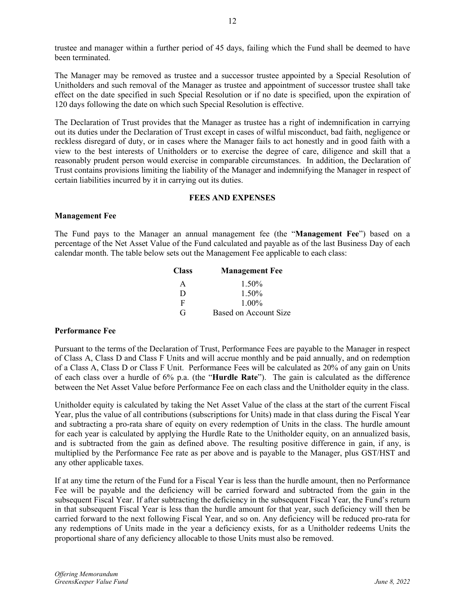trustee and manager within a further period of 45 days, failing which the Fund shall be deemed to have been terminated.

The Manager may be removed as trustee and a successor trustee appointed by a Special Resolution of Unitholders and such removal of the Manager as trustee and appointment of successor trustee shall take effect on the date specified in such Special Resolution or if no date is specified, upon the expiration of 120 days following the date on which such Special Resolution is effective.

The Declaration of Trust provides that the Manager as trustee has a right of indemnification in carrying out its duties under the Declaration of Trust except in cases of wilful misconduct, bad faith, negligence or reckless disregard of duty, or in cases where the Manager fails to act honestly and in good faith with a view to the best interests of Unitholders or to exercise the degree of care, diligence and skill that a reasonably prudent person would exercise in comparable circumstances. In addition, the Declaration of Trust contains provisions limiting the liability of the Manager and indemnifying the Manager in respect of certain liabilities incurred by it in carrying out its duties.

# **FEES AND EXPENSES**

### **Management Fee**

The Fund pays to the Manager an annual management fee (the "**Management Fee**") based on a percentage of the Net Asset Value of the Fund calculated and payable as of the last Business Day of each calendar month. The table below sets out the Management Fee applicable to each class:

| <b>Class</b> | <b>Management Fee</b> |
|--------------|-----------------------|
| A            | 1.50%                 |
| D            | 1.50%                 |
| F            | $1.00\%$              |
| G            | Based on Account Size |

# **Performance Fee**

Pursuant to the terms of the Declaration of Trust, Performance Fees are payable to the Manager in respect of Class A, Class D and Class F Units and will accrue monthly and be paid annually, and on redemption of a Class A, Class D or Class F Unit. Performance Fees will be calculated as 20% of any gain on Units of each class over a hurdle of 6% p.a. (the "**Hurdle Rate**"). The gain is calculated as the difference between the Net Asset Value before Performance Fee on each class and the Unitholder equity in the class.

Unitholder equity is calculated by taking the Net Asset Value of the class at the start of the current Fiscal Year, plus the value of all contributions (subscriptions for Units) made in that class during the Fiscal Year and subtracting a pro-rata share of equity on every redemption of Units in the class. The hurdle amount for each year is calculated by applying the Hurdle Rate to the Unitholder equity, on an annualized basis, and is subtracted from the gain as defined above. The resulting positive difference in gain, if any, is multiplied by the Performance Fee rate as per above and is payable to the Manager, plus GST/HST and any other applicable taxes.

If at any time the return of the Fund for a Fiscal Year is less than the hurdle amount, then no Performance Fee will be payable and the deficiency will be carried forward and subtracted from the gain in the subsequent Fiscal Year. If after subtracting the deficiency in the subsequent Fiscal Year, the Fund's return in that subsequent Fiscal Year is less than the hurdle amount for that year, such deficiency will then be carried forward to the next following Fiscal Year, and so on. Any deficiency will be reduced pro-rata for any redemptions of Units made in the year a deficiency exists, for as a Unitholder redeems Units the proportional share of any deficiency allocable to those Units must also be removed.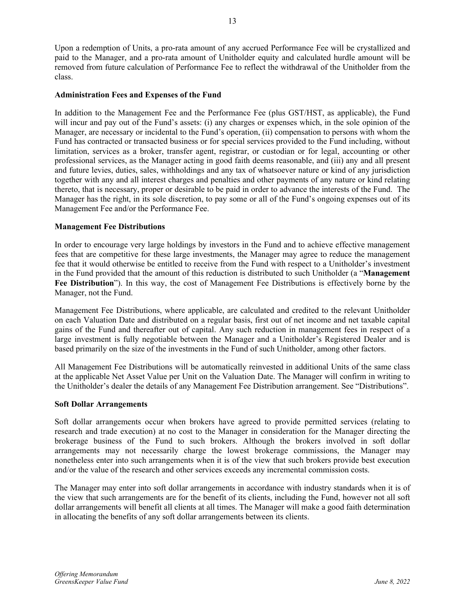Upon a redemption of Units, a pro-rata amount of any accrued Performance Fee will be crystallized and paid to the Manager, and a pro-rata amount of Unitholder equity and calculated hurdle amount will be removed from future calculation of Performance Fee to reflect the withdrawal of the Unitholder from the class.

#### **Administration Fees and Expenses of the Fund**

In addition to the Management Fee and the Performance Fee (plus GST/HST, as applicable), the Fund will incur and pay out of the Fund's assets: (i) any charges or expenses which, in the sole opinion of the Manager, are necessary or incidental to the Fund's operation, (ii) compensation to persons with whom the Fund has contracted or transacted business or for special services provided to the Fund including, without limitation, services as a broker, transfer agent, registrar, or custodian or for legal, accounting or other professional services, as the Manager acting in good faith deems reasonable, and (iii) any and all present and future levies, duties, sales, withholdings and any tax of whatsoever nature or kind of any jurisdiction together with any and all interest charges and penalties and other payments of any nature or kind relating thereto, that is necessary, proper or desirable to be paid in order to advance the interests of the Fund. The Manager has the right, in its sole discretion, to pay some or all of the Fund's ongoing expenses out of its Management Fee and/or the Performance Fee.

### **Management Fee Distributions**

In order to encourage very large holdings by investors in the Fund and to achieve effective management fees that are competitive for these large investments, the Manager may agree to reduce the management fee that it would otherwise be entitled to receive from the Fund with respect to a Unitholder's investment in the Fund provided that the amount of this reduction is distributed to such Unitholder (a "**Management Fee Distribution**"). In this way, the cost of Management Fee Distributions is effectively borne by the Manager, not the Fund.

Management Fee Distributions, where applicable, are calculated and credited to the relevant Unitholder on each Valuation Date and distributed on a regular basis, first out of net income and net taxable capital gains of the Fund and thereafter out of capital. Any such reduction in management fees in respect of a large investment is fully negotiable between the Manager and a Unitholder's Registered Dealer and is based primarily on the size of the investments in the Fund of such Unitholder, among other factors.

All Management Fee Distributions will be automatically reinvested in additional Units of the same class at the applicable Net Asset Value per Unit on the Valuation Date. The Manager will confirm in writing to the Unitholder's dealer the details of any Management Fee Distribution arrangement. See "Distributions".

#### **Soft Dollar Arrangements**

Soft dollar arrangements occur when brokers have agreed to provide permitted services (relating to research and trade execution) at no cost to the Manager in consideration for the Manager directing the brokerage business of the Fund to such brokers. Although the brokers involved in soft dollar arrangements may not necessarily charge the lowest brokerage commissions, the Manager may nonetheless enter into such arrangements when it is of the view that such brokers provide best execution and/or the value of the research and other services exceeds any incremental commission costs.

The Manager may enter into soft dollar arrangements in accordance with industry standards when it is of the view that such arrangements are for the benefit of its clients, including the Fund, however not all soft dollar arrangements will benefit all clients at all times. The Manager will make a good faith determination in allocating the benefits of any soft dollar arrangements between its clients.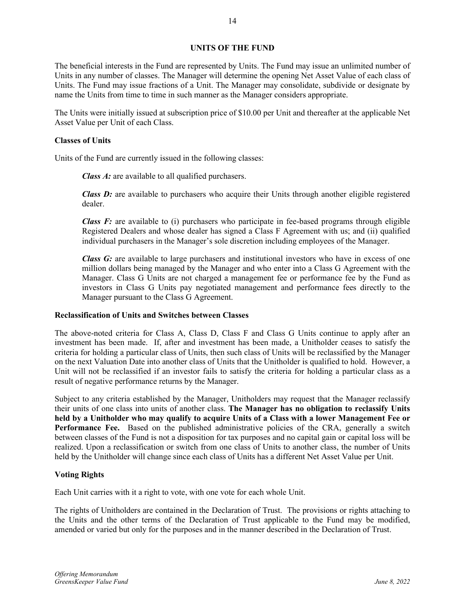# **UNITS OF THE FUND**

The beneficial interests in the Fund are represented by Units. The Fund may issue an unlimited number of Units in any number of classes. The Manager will determine the opening Net Asset Value of each class of Units. The Fund may issue fractions of a Unit. The Manager may consolidate, subdivide or designate by name the Units from time to time in such manner as the Manager considers appropriate.

The Units were initially issued at subscription price of \$10.00 per Unit and thereafter at the applicable Net Asset Value per Unit of each Class.

### **Classes of Units**

Units of the Fund are currently issued in the following classes:

*Class A:* are available to all qualified purchasers.

*Class D:* are available to purchasers who acquire their Units through another eligible registered dealer.

*Class F:* are available to (i) purchasers who participate in fee-based programs through eligible Registered Dealers and whose dealer has signed a Class F Agreement with us; and (ii) qualified individual purchasers in the Manager's sole discretion including employees of the Manager.

*Class G:* are available to large purchasers and institutional investors who have in excess of one million dollars being managed by the Manager and who enter into a Class G Agreement with the Manager. Class G Units are not charged a management fee or performance fee by the Fund as investors in Class G Units pay negotiated management and performance fees directly to the Manager pursuant to the Class G Agreement.

# **Reclassification of Units and Switches between Classes**

The above-noted criteria for Class A, Class D, Class F and Class G Units continue to apply after an investment has been made. If, after and investment has been made, a Unitholder ceases to satisfy the criteria for holding a particular class of Units, then such class of Units will be reclassified by the Manager on the next Valuation Date into another class of Units that the Unitholder is qualified to hold. However, a Unit will not be reclassified if an investor fails to satisfy the criteria for holding a particular class as a result of negative performance returns by the Manager.

Subject to any criteria established by the Manager, Unitholders may request that the Manager reclassify their units of one class into units of another class. **The Manager has no obligation to reclassify Units held by a Unitholder who may qualify to acquire Units of a Class with a lower Management Fee or**  Performance Fee. Based on the published administrative policies of the CRA, generally a switch between classes of the Fund is not a disposition for tax purposes and no capital gain or capital loss will be realized. Upon a reclassification or switch from one class of Units to another class, the number of Units held by the Unitholder will change since each class of Units has a different Net Asset Value per Unit.

# **Voting Rights**

Each Unit carries with it a right to vote, with one vote for each whole Unit.

The rights of Unitholders are contained in the Declaration of Trust. The provisions or rights attaching to the Units and the other terms of the Declaration of Trust applicable to the Fund may be modified, amended or varied but only for the purposes and in the manner described in the Declaration of Trust.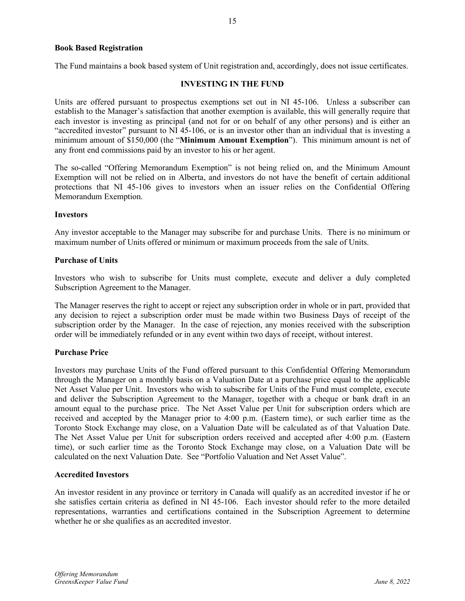### **Book Based Registration**

The Fund maintains a book based system of Unit registration and, accordingly, does not issue certificates.

### **INVESTING IN THE FUND**

Units are offered pursuant to prospectus exemptions set out in NI 45-106. Unless a subscriber can establish to the Manager's satisfaction that another exemption is available, this will generally require that each investor is investing as principal (and not for or on behalf of any other persons) and is either an "accredited investor" pursuant to NI 45-106, or is an investor other than an individual that is investing a minimum amount of \$150,000 (the "**Minimum Amount Exemption**"). This minimum amount is net of any front end commissions paid by an investor to his or her agent.

The so-called "Offering Memorandum Exemption" is not being relied on, and the Minimum Amount Exemption will not be relied on in Alberta, and investors do not have the benefit of certain additional protections that NI 45-106 gives to investors when an issuer relies on the Confidential Offering Memorandum Exemption.

#### **Investors**

Any investor acceptable to the Manager may subscribe for and purchase Units. There is no minimum or maximum number of Units offered or minimum or maximum proceeds from the sale of Units.

#### **Purchase of Units**

Investors who wish to subscribe for Units must complete, execute and deliver a duly completed Subscription Agreement to the Manager.

The Manager reserves the right to accept or reject any subscription order in whole or in part, provided that any decision to reject a subscription order must be made within two Business Days of receipt of the subscription order by the Manager. In the case of rejection, any monies received with the subscription order will be immediately refunded or in any event within two days of receipt, without interest.

#### **Purchase Price**

Investors may purchase Units of the Fund offered pursuant to this Confidential Offering Memorandum through the Manager on a monthly basis on a Valuation Date at a purchase price equal to the applicable Net Asset Value per Unit. Investors who wish to subscribe for Units of the Fund must complete, execute and deliver the Subscription Agreement to the Manager, together with a cheque or bank draft in an amount equal to the purchase price. The Net Asset Value per Unit for subscription orders which are received and accepted by the Manager prior to 4:00 p.m. (Eastern time), or such earlier time as the Toronto Stock Exchange may close, on a Valuation Date will be calculated as of that Valuation Date. The Net Asset Value per Unit for subscription orders received and accepted after 4:00 p.m. (Eastern time), or such earlier time as the Toronto Stock Exchange may close, on a Valuation Date will be calculated on the next Valuation Date. See "Portfolio Valuation and Net Asset Value".

#### **Accredited Investors**

An investor resident in any province or territory in Canada will qualify as an accredited investor if he or she satisfies certain criteria as defined in NI 45-106. Each investor should refer to the more detailed representations, warranties and certifications contained in the Subscription Agreement to determine whether he or she qualifies as an accredited investor.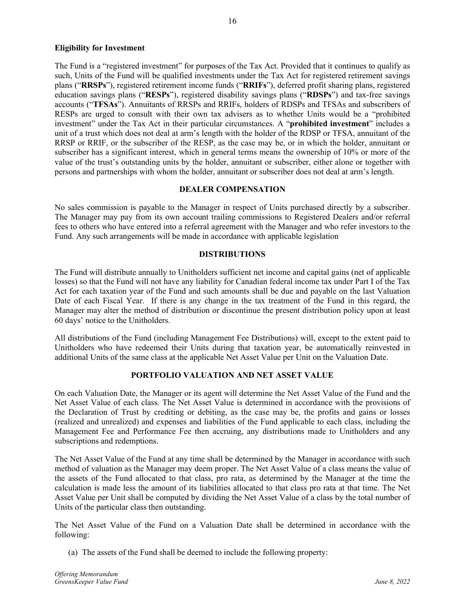# **Eligibility for Investment**

The Fund is a "registered investment" for purposes of the Tax Act. Provided that it continues to qualify as such, Units of the Fund will be qualified investments under the Tax Act for registered retirement savings plans ("**RRSPs**"), registered retirement income funds ("**RRIFs**"), deferred profit sharing plans, registered education savings plans ("**RESPs**"), registered disability savings plans ("**RDSPs**") and tax-free savings accounts ("**TFSAs**"). Annuitants of RRSPs and RRIFs, holders of RDSPs and TFSAs and subscribers of RESPs are urged to consult with their own tax advisers as to whether Units would be a "prohibited investment" under the Tax Act in their particular circumstances. A "**prohibited investment**" includes a unit of a trust which does not deal at arm's length with the holder of the RDSP or TFSA, annuitant of the RRSP or RRIF, or the subscriber of the RESP, as the case may be, or in which the holder, annuitant or subscriber has a significant interest, which in general terms means the ownership of 10% or more of the value of the trust's outstanding units by the holder, annuitant or subscriber, either alone or together with persons and partnerships with whom the holder, annuitant or subscriber does not deal at arm's length.

# **DEALER COMPENSATION**

No sales commission is payable to the Manager in respect of Units purchased directly by a subscriber. The Manager may pay from its own account trailing commissions to Registered Dealers and/or referral fees to others who have entered into a referral agreement with the Manager and who refer investors to the Fund. Any such arrangements will be made in accordance with applicable legislation

# **DISTRIBUTIONS**

The Fund will distribute annually to Unitholders sufficient net income and capital gains (net of applicable losses) so that the Fund will not have any liability for Canadian federal income tax under Part I of the Tax Act for each taxation year of the Fund and such amounts shall be due and payable on the last Valuation Date of each Fiscal Year. If there is any change in the tax treatment of the Fund in this regard, the Manager may alter the method of distribution or discontinue the present distribution policy upon at least 60 days' notice to the Unitholders.

All distributions of the Fund (including Management Fee Distributions) will, except to the extent paid to Unitholders who have redeemed their Units during that taxation year, be automatically reinvested in additional Units of the same class at the applicable Net Asset Value per Unit on the Valuation Date.

# **PORTFOLIO VALUATION AND NET ASSET VALUE**

On each Valuation Date, the Manager or its agent will determine the Net Asset Value of the Fund and the Net Asset Value of each class. The Net Asset Value is determined in accordance with the provisions of the Declaration of Trust by crediting or debiting, as the case may be, the profits and gains or losses (realized and unrealized) and expenses and liabilities of the Fund applicable to each class, including the Management Fee and Performance Fee then accruing, any distributions made to Unitholders and any subscriptions and redemptions.

The Net Asset Value of the Fund at any time shall be determined by the Manager in accordance with such method of valuation as the Manager may deem proper. The Net Asset Value of a class means the value of the assets of the Fund allocated to that class, pro rata, as determined by the Manager at the time the calculation is made less the amount of its liabilities allocated to that class pro rata at that time. The Net Asset Value per Unit shall be computed by dividing the Net Asset Value of a class by the total number of Units of the particular class then outstanding.

The Net Asset Value of the Fund on a Valuation Date shall be determined in accordance with the following:

(a) The assets of the Fund shall be deemed to include the following property: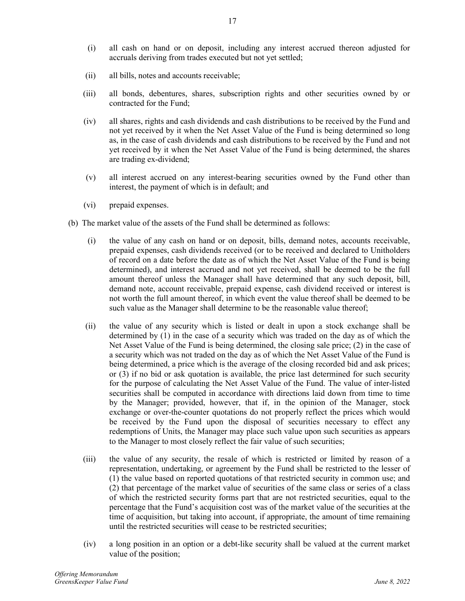- (i) all cash on hand or on deposit, including any interest accrued thereon adjusted for accruals deriving from trades executed but not yet settled;
- (ii) all bills, notes and accounts receivable;
- (iii) all bonds, debentures, shares, subscription rights and other securities owned by or contracted for the Fund;
- (iv) all shares, rights and cash dividends and cash distributions to be received by the Fund and not yet received by it when the Net Asset Value of the Fund is being determined so long as, in the case of cash dividends and cash distributions to be received by the Fund and not yet received by it when the Net Asset Value of the Fund is being determined, the shares are trading ex-dividend;
- (v) all interest accrued on any interest-bearing securities owned by the Fund other than interest, the payment of which is in default; and
- (vi) prepaid expenses.
- (b) The market value of the assets of the Fund shall be determined as follows:
	- (i) the value of any cash on hand or on deposit, bills, demand notes, accounts receivable, prepaid expenses, cash dividends received (or to be received and declared to Unitholders of record on a date before the date as of which the Net Asset Value of the Fund is being determined), and interest accrued and not yet received, shall be deemed to be the full amount thereof unless the Manager shall have determined that any such deposit, bill, demand note, account receivable, prepaid expense, cash dividend received or interest is not worth the full amount thereof, in which event the value thereof shall be deemed to be such value as the Manager shall determine to be the reasonable value thereof;
	- (ii) the value of any security which is listed or dealt in upon a stock exchange shall be determined by (1) in the case of a security which was traded on the day as of which the Net Asset Value of the Fund is being determined, the closing sale price; (2) in the case of a security which was not traded on the day as of which the Net Asset Value of the Fund is being determined, a price which is the average of the closing recorded bid and ask prices; or (3) if no bid or ask quotation is available, the price last determined for such security for the purpose of calculating the Net Asset Value of the Fund. The value of inter-listed securities shall be computed in accordance with directions laid down from time to time by the Manager; provided, however, that if, in the opinion of the Manager, stock exchange or over-the-counter quotations do not properly reflect the prices which would be received by the Fund upon the disposal of securities necessary to effect any redemptions of Units, the Manager may place such value upon such securities as appears to the Manager to most closely reflect the fair value of such securities;
	- (iii) the value of any security, the resale of which is restricted or limited by reason of a representation, undertaking, or agreement by the Fund shall be restricted to the lesser of (1) the value based on reported quotations of that restricted security in common use; and (2) that percentage of the market value of securities of the same class or series of a class of which the restricted security forms part that are not restricted securities, equal to the percentage that the Fund's acquisition cost was of the market value of the securities at the time of acquisition, but taking into account, if appropriate, the amount of time remaining until the restricted securities will cease to be restricted securities;
	- (iv) a long position in an option or a debt-like security shall be valued at the current market value of the position;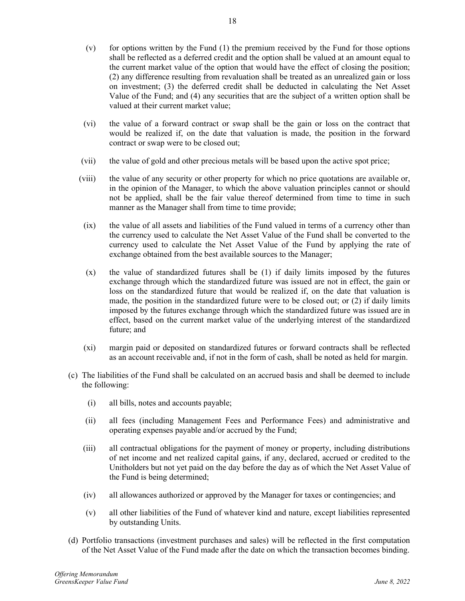- $(v)$  for options written by the Fund  $(1)$  the premium received by the Fund for those options shall be reflected as a deferred credit and the option shall be valued at an amount equal to the current market value of the option that would have the effect of closing the position; (2) any difference resulting from revaluation shall be treated as an unrealized gain or loss on investment; (3) the deferred credit shall be deducted in calculating the Net Asset Value of the Fund; and (4) any securities that are the subject of a written option shall be valued at their current market value;
- (vi) the value of a forward contract or swap shall be the gain or loss on the contract that would be realized if, on the date that valuation is made, the position in the forward contract or swap were to be closed out;
- (vii) the value of gold and other precious metals will be based upon the active spot price;
- (viii) the value of any security or other property for which no price quotations are available or, in the opinion of the Manager, to which the above valuation principles cannot or should not be applied, shall be the fair value thereof determined from time to time in such manner as the Manager shall from time to time provide;
- (ix) the value of all assets and liabilities of the Fund valued in terms of a currency other than the currency used to calculate the Net Asset Value of the Fund shall be converted to the currency used to calculate the Net Asset Value of the Fund by applying the rate of exchange obtained from the best available sources to the Manager;
- (x) the value of standardized futures shall be (1) if daily limits imposed by the futures exchange through which the standardized future was issued are not in effect, the gain or loss on the standardized future that would be realized if, on the date that valuation is made, the position in the standardized future were to be closed out; or (2) if daily limits imposed by the futures exchange through which the standardized future was issued are in effect, based on the current market value of the underlying interest of the standardized future; and
- (xi) margin paid or deposited on standardized futures or forward contracts shall be reflected as an account receivable and, if not in the form of cash, shall be noted as held for margin.
- (c) The liabilities of the Fund shall be calculated on an accrued basis and shall be deemed to include the following:
	- (i) all bills, notes and accounts payable;
	- (ii) all fees (including Management Fees and Performance Fees) and administrative and operating expenses payable and/or accrued by the Fund;
	- (iii) all contractual obligations for the payment of money or property, including distributions of net income and net realized capital gains, if any, declared, accrued or credited to the Unitholders but not yet paid on the day before the day as of which the Net Asset Value of the Fund is being determined;
	- (iv) all allowances authorized or approved by the Manager for taxes or contingencies; and
	- (v) all other liabilities of the Fund of whatever kind and nature, except liabilities represented by outstanding Units.
- (d) Portfolio transactions (investment purchases and sales) will be reflected in the first computation of the Net Asset Value of the Fund made after the date on which the transaction becomes binding.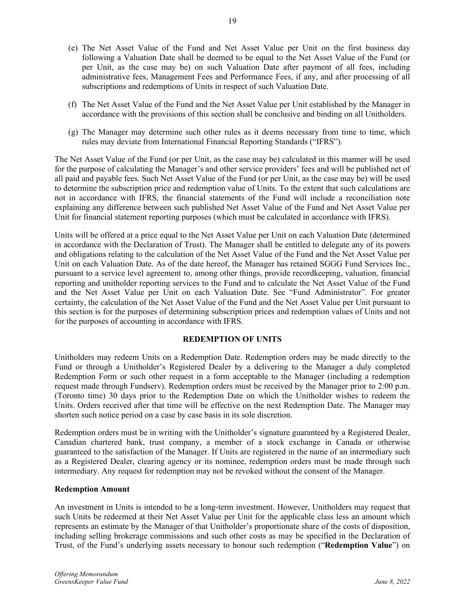- (e) The Net Asset Value of the Fund and Net Asset Value per Unit on the first business day following a Valuation Date shall be deemed to be equal to the Net Asset Value of the Fund (or per Unit, as the case may be) on such Valuation Date after payment of all fees, including administrative fees, Management Fees and Performance Fees, if any, and after processing of all subscriptions and redemptions of Units in respect of such Valuation Date.
- (f) The Net Asset Value of the Fund and the Net Asset Value per Unit established by the Manager in accordance with the provisions of this section shall be conclusive and binding on all Unitholders.
- (g) The Manager may determine such other rules as it deems necessary from time to time, which rules may deviate from International Financial Reporting Standards ("IFRS").

The Net Asset Value of the Fund (or per Unit, as the case may be) calculated in this manner will be used for the purpose of calculating the Manager's and other service providers' fees and will be published net of all paid and payable fees. Such Net Asset Value of the Fund (or per Unit, as the case may be) will be used to determine the subscription price and redemption value of Units. To the extent that such calculations are not in accordance with IFRS, the financial statements of the Fund will include a reconciliation note explaining any difference between such published Net Asset Value of the Fund and Net Asset Value per Unit for financial statement reporting purposes (which must be calculated in accordance with IFRS).

Units will be offered at a price equal to the Net Asset Value per Unit on each Valuation Date (determined in accordance with the Declaration of Trust). The Manager shall be entitled to delegate any of its powers and obligations relating to the calculation of the Net Asset Value of the Fund and the Net Asset Value per Unit on each Valuation Date. As of the date hereof, the Manager has retained SGGG Fund Services Inc., pursuant to a service level agreement to, among other things, provide recordkeeping, valuation, financial reporting and unitholder reporting services to the Fund and to calculate the Net Asset Value of the Fund and the Net Asset Value per Unit on each Valuation Date. See "Fund Administrator". For greater certainty, the calculation of the Net Asset Value of the Fund and the Net Asset Value per Unit pursuant to this section is for the purposes of determining subscription prices and redemption values of Units and not for the purposes of accounting in accordance with IFRS.

# **REDEMPTION OF UNITS**

Unitholders may redeem Units on a Redemption Date. Redemption orders may be made directly to the Fund or through a Unitholder's Registered Dealer by a delivering to the Manager a duly completed Redemption Form or such other request in a form acceptable to the Manager (including a redemption request made through Fundserv). Redemption orders must be received by the Manager prior to 2:00 p.m. (Toronto time) 30 days prior to the Redemption Date on which the Unitholder wishes to redeem the Units. Orders received after that time will be effective on the next Redemption Date. The Manager may shorten such notice period on a case by case basis in its sole discretion.

Redemption orders must be in writing with the Unitholder's signature guaranteed by a Registered Dealer, Canadian chartered bank, trust company, a member of a stock exchange in Canada or otherwise guaranteed to the satisfaction of the Manager. If Units are registered in the name of an intermediary such as a Registered Dealer, clearing agency or its nominee, redemption orders must be made through such intermediary. Any request for redemption may not be revoked without the consent of the Manager.

# **Redemption Amount**

An investment in Units is intended to be a long-term investment. However, Unitholders may request that such Units be redeemed at their Net Asset Value per Unit for the applicable class less an amount which represents an estimate by the Manager of that Unitholder's proportionate share of the costs of disposition, including selling brokerage commissions and such other costs as may be specified in the Declaration of Trust, of the Fund's underlying assets necessary to honour such redemption ("**Redemption Value**") on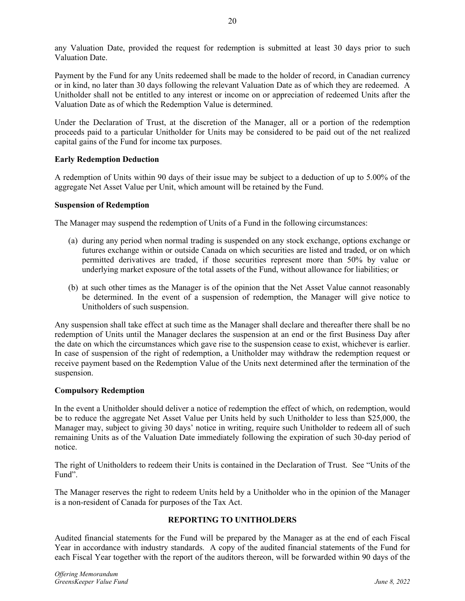any Valuation Date, provided the request for redemption is submitted at least 30 days prior to such Valuation Date.

Payment by the Fund for any Units redeemed shall be made to the holder of record, in Canadian currency or in kind, no later than 30 days following the relevant Valuation Date as of which they are redeemed. A Unitholder shall not be entitled to any interest or income on or appreciation of redeemed Units after the Valuation Date as of which the Redemption Value is determined.

Under the Declaration of Trust, at the discretion of the Manager, all or a portion of the redemption proceeds paid to a particular Unitholder for Units may be considered to be paid out of the net realized capital gains of the Fund for income tax purposes.

# **Early Redemption Deduction**

A redemption of Units within 90 days of their issue may be subject to a deduction of up to 5.00% of the aggregate Net Asset Value per Unit, which amount will be retained by the Fund.

# **Suspension of Redemption**

The Manager may suspend the redemption of Units of a Fund in the following circumstances:

- (a) during any period when normal trading is suspended on any stock exchange, options exchange or futures exchange within or outside Canada on which securities are listed and traded, or on which permitted derivatives are traded, if those securities represent more than 50% by value or underlying market exposure of the total assets of the Fund, without allowance for liabilities; or
- (b) at such other times as the Manager is of the opinion that the Net Asset Value cannot reasonably be determined. In the event of a suspension of redemption, the Manager will give notice to Unitholders of such suspension.

Any suspension shall take effect at such time as the Manager shall declare and thereafter there shall be no redemption of Units until the Manager declares the suspension at an end or the first Business Day after the date on which the circumstances which gave rise to the suspension cease to exist, whichever is earlier. In case of suspension of the right of redemption, a Unitholder may withdraw the redemption request or receive payment based on the Redemption Value of the Units next determined after the termination of the suspension.

# **Compulsory Redemption**

In the event a Unitholder should deliver a notice of redemption the effect of which, on redemption, would be to reduce the aggregate Net Asset Value per Units held by such Unitholder to less than \$25,000, the Manager may, subject to giving 30 days' notice in writing, require such Unitholder to redeem all of such remaining Units as of the Valuation Date immediately following the expiration of such 30-day period of notice.

The right of Unitholders to redeem their Units is contained in the Declaration of Trust. See "Units of the Fund".

The Manager reserves the right to redeem Units held by a Unitholder who in the opinion of the Manager is a non-resident of Canada for purposes of the Tax Act.

# **REPORTING TO UNITHOLDERS**

Audited financial statements for the Fund will be prepared by the Manager as at the end of each Fiscal Year in accordance with industry standards. A copy of the audited financial statements of the Fund for each Fiscal Year together with the report of the auditors thereon, will be forwarded within 90 days of the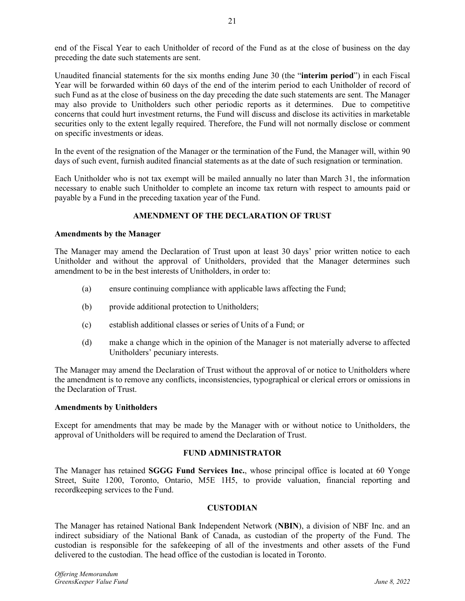end of the Fiscal Year to each Unitholder of record of the Fund as at the close of business on the day preceding the date such statements are sent.

Unaudited financial statements for the six months ending June 30 (the "**interim period**") in each Fiscal Year will be forwarded within 60 days of the end of the interim period to each Unitholder of record of such Fund as at the close of business on the day preceding the date such statements are sent. The Manager may also provide to Unitholders such other periodic reports as it determines. Due to competitive concerns that could hurt investment returns, the Fund will discuss and disclose its activities in marketable securities only to the extent legally required. Therefore, the Fund will not normally disclose or comment on specific investments or ideas.

In the event of the resignation of the Manager or the termination of the Fund, the Manager will, within 90 days of such event, furnish audited financial statements as at the date of such resignation or termination.

Each Unitholder who is not tax exempt will be mailed annually no later than March 31, the information necessary to enable such Unitholder to complete an income tax return with respect to amounts paid or payable by a Fund in the preceding taxation year of the Fund.

# **AMENDMENT OF THE DECLARATION OF TRUST**

# **Amendments by the Manager**

The Manager may amend the Declaration of Trust upon at least 30 days' prior written notice to each Unitholder and without the approval of Unitholders, provided that the Manager determines such amendment to be in the best interests of Unitholders, in order to:

- (a) ensure continuing compliance with applicable laws affecting the Fund;
- (b) provide additional protection to Unitholders;
- (c) establish additional classes or series of Units of a Fund; or
- (d) make a change which in the opinion of the Manager is not materially adverse to affected Unitholders' pecuniary interests.

The Manager may amend the Declaration of Trust without the approval of or notice to Unitholders where the amendment is to remove any conflicts, inconsistencies, typographical or clerical errors or omissions in the Declaration of Trust.

# **Amendments by Unitholders**

Except for amendments that may be made by the Manager with or without notice to Unitholders, the approval of Unitholders will be required to amend the Declaration of Trust.

# **FUND ADMINISTRATOR**

The Manager has retained **SGGG Fund Services Inc.**, whose principal office is located at 60 Yonge Street, Suite 1200, Toronto, Ontario, M5E 1H5, to provide valuation, financial reporting and recordkeeping services to the Fund.

# **CUSTODIAN**

The Manager has retained National Bank Independent Network (**NBIN**), a division of NBF Inc. and an indirect subsidiary of the National Bank of Canada, as custodian of the property of the Fund. The custodian is responsible for the safekeeping of all of the investments and other assets of the Fund delivered to the custodian. The head office of the custodian is located in Toronto.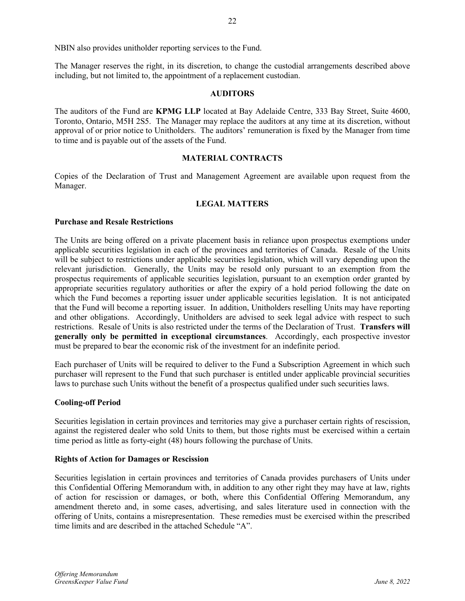The Manager reserves the right, in its discretion, to change the custodial arrangements described above including, but not limited to, the appointment of a replacement custodian.

# **AUDITORS**

The auditors of the Fund are **KPMG LLP** located at Bay Adelaide Centre, 333 Bay Street, Suite 4600, Toronto, Ontario, M5H 2S5. The Manager may replace the auditors at any time at its discretion, without approval of or prior notice to Unitholders. The auditors' remuneration is fixed by the Manager from time to time and is payable out of the assets of the Fund.

# **MATERIAL CONTRACTS**

Copies of the Declaration of Trust and Management Agreement are available upon request from the Manager.

# **LEGAL MATTERS**

### **Purchase and Resale Restrictions**

The Units are being offered on a private placement basis in reliance upon prospectus exemptions under applicable securities legislation in each of the provinces and territories of Canada. Resale of the Units will be subject to restrictions under applicable securities legislation, which will vary depending upon the relevant jurisdiction. Generally, the Units may be resold only pursuant to an exemption from the prospectus requirements of applicable securities legislation, pursuant to an exemption order granted by appropriate securities regulatory authorities or after the expiry of a hold period following the date on which the Fund becomes a reporting issuer under applicable securities legislation. It is not anticipated that the Fund will become a reporting issuer. In addition, Unitholders reselling Units may have reporting and other obligations. Accordingly, Unitholders are advised to seek legal advice with respect to such restrictions. Resale of Units is also restricted under the terms of the Declaration of Trust. **Transfers will generally only be permitted in exceptional circumstances**. Accordingly, each prospective investor must be prepared to bear the economic risk of the investment for an indefinite period.

Each purchaser of Units will be required to deliver to the Fund a Subscription Agreement in which such purchaser will represent to the Fund that such purchaser is entitled under applicable provincial securities laws to purchase such Units without the benefit of a prospectus qualified under such securities laws.

#### **Cooling-off Period**

Securities legislation in certain provinces and territories may give a purchaser certain rights of rescission, against the registered dealer who sold Units to them, but those rights must be exercised within a certain time period as little as forty-eight (48) hours following the purchase of Units.

#### **Rights of Action for Damages or Rescission**

Securities legislation in certain provinces and territories of Canada provides purchasers of Units under this Confidential Offering Memorandum with, in addition to any other right they may have at law, rights of action for rescission or damages, or both, where this Confidential Offering Memorandum, any amendment thereto and, in some cases, advertising, and sales literature used in connection with the offering of Units, contains a misrepresentation. These remedies must be exercised within the prescribed time limits and are described in the attached Schedule "A".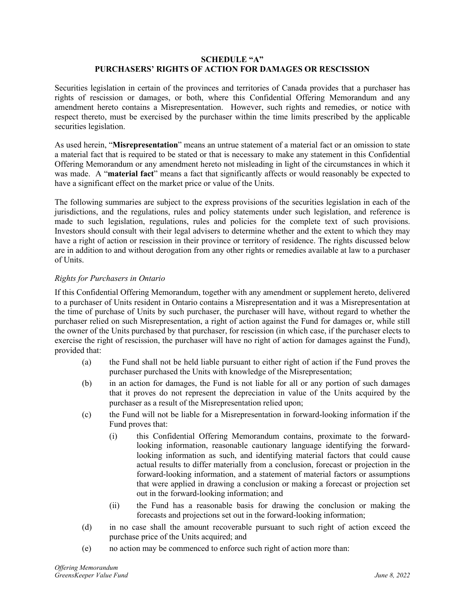### **SCHEDULE "A" PURCHASERS' RIGHTS OF ACTION FOR DAMAGES OR RESCISSION**

Securities legislation in certain of the provinces and territories of Canada provides that a purchaser has rights of rescission or damages, or both, where this Confidential Offering Memorandum and any amendment hereto contains a Misrepresentation. However, such rights and remedies, or notice with respect thereto, must be exercised by the purchaser within the time limits prescribed by the applicable securities legislation.

As used herein, "**Misrepresentation**" means an untrue statement of a material fact or an omission to state a material fact that is required to be stated or that is necessary to make any statement in this Confidential Offering Memorandum or any amendment hereto not misleading in light of the circumstances in which it was made. A "**material fact**" means a fact that significantly affects or would reasonably be expected to have a significant effect on the market price or value of the Units.

The following summaries are subject to the express provisions of the securities legislation in each of the jurisdictions, and the regulations, rules and policy statements under such legislation, and reference is made to such legislation, regulations, rules and policies for the complete text of such provisions. Investors should consult with their legal advisers to determine whether and the extent to which they may have a right of action or rescission in their province or territory of residence. The rights discussed below are in addition to and without derogation from any other rights or remedies available at law to a purchaser of Units.

# *Rights for Purchasers in Ontario*

If this Confidential Offering Memorandum, together with any amendment or supplement hereto, delivered to a purchaser of Units resident in Ontario contains a Misrepresentation and it was a Misrepresentation at the time of purchase of Units by such purchaser, the purchaser will have, without regard to whether the purchaser relied on such Misrepresentation, a right of action against the Fund for damages or, while still the owner of the Units purchased by that purchaser, for rescission (in which case, if the purchaser elects to exercise the right of rescission, the purchaser will have no right of action for damages against the Fund), provided that:

- (a) the Fund shall not be held liable pursuant to either right of action if the Fund proves the purchaser purchased the Units with knowledge of the Misrepresentation;
- (b) in an action for damages, the Fund is not liable for all or any portion of such damages that it proves do not represent the depreciation in value of the Units acquired by the purchaser as a result of the Misrepresentation relied upon;
- (c) the Fund will not be liable for a Misrepresentation in forward-looking information if the Fund proves that:
	- (i) this Confidential Offering Memorandum contains, proximate to the forwardlooking information, reasonable cautionary language identifying the forwardlooking information as such, and identifying material factors that could cause actual results to differ materially from a conclusion, forecast or projection in the forward-looking information, and a statement of material factors or assumptions that were applied in drawing a conclusion or making a forecast or projection set out in the forward-looking information; and
	- (ii) the Fund has a reasonable basis for drawing the conclusion or making the forecasts and projections set out in the forward-looking information;
- (d) in no case shall the amount recoverable pursuant to such right of action exceed the purchase price of the Units acquired; and
- (e) no action may be commenced to enforce such right of action more than: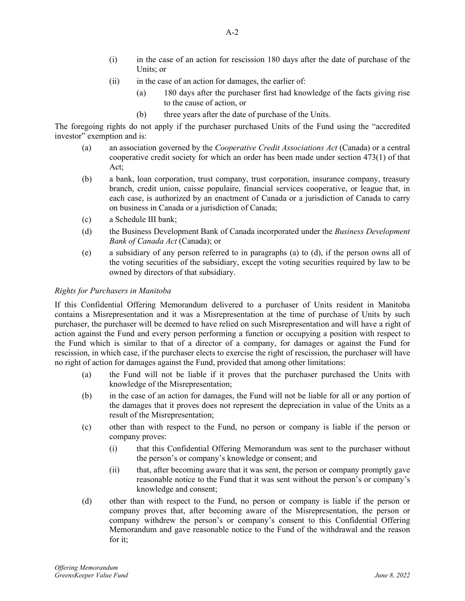- (i) in the case of an action for rescission 180 days after the date of purchase of the Units; or
- (ii) in the case of an action for damages, the earlier of:
	- (a) 180 days after the purchaser first had knowledge of the facts giving rise to the cause of action, or
	- (b) three years after the date of purchase of the Units.

The foregoing rights do not apply if the purchaser purchased Units of the Fund using the "accredited investor" exemption and is:

- (a) an association governed by the *Cooperative Credit Associations Act* (Canada) or a central cooperative credit society for which an order has been made under section 473(1) of that Act;
- (b) a bank, loan corporation, trust company, trust corporation, insurance company, treasury branch, credit union, caisse populaire, financial services cooperative, or league that, in each case, is authorized by an enactment of Canada or a jurisdiction of Canada to carry on business in Canada or a jurisdiction of Canada;
- (c) a Schedule III bank;
- (d) the Business Development Bank of Canada incorporated under the *Business Development Bank of Canada Act* (Canada); or
- (e) a subsidiary of any person referred to in paragraphs (a) to (d), if the person owns all of the voting securities of the subsidiary, except the voting securities required by law to be owned by directors of that subsidiary.

#### *Rights for Purchasers in Manitoba*

If this Confidential Offering Memorandum delivered to a purchaser of Units resident in Manitoba contains a Misrepresentation and it was a Misrepresentation at the time of purchase of Units by such purchaser, the purchaser will be deemed to have relied on such Misrepresentation and will have a right of action against the Fund and every person performing a function or occupying a position with respect to the Fund which is similar to that of a director of a company, for damages or against the Fund for rescission, in which case, if the purchaser elects to exercise the right of rescission, the purchaser will have no right of action for damages against the Fund, provided that among other limitations:

- (a) the Fund will not be liable if it proves that the purchaser purchased the Units with knowledge of the Misrepresentation;
- (b) in the case of an action for damages, the Fund will not be liable for all or any portion of the damages that it proves does not represent the depreciation in value of the Units as a result of the Misrepresentation;
- (c) other than with respect to the Fund, no person or company is liable if the person or company proves:
	- (i) that this Confidential Offering Memorandum was sent to the purchaser without the person's or company's knowledge or consent; and
	- (ii) that, after becoming aware that it was sent, the person or company promptly gave reasonable notice to the Fund that it was sent without the person's or company's knowledge and consent;
- (d) other than with respect to the Fund, no person or company is liable if the person or company proves that, after becoming aware of the Misrepresentation, the person or company withdrew the person's or company's consent to this Confidential Offering Memorandum and gave reasonable notice to the Fund of the withdrawal and the reason for it;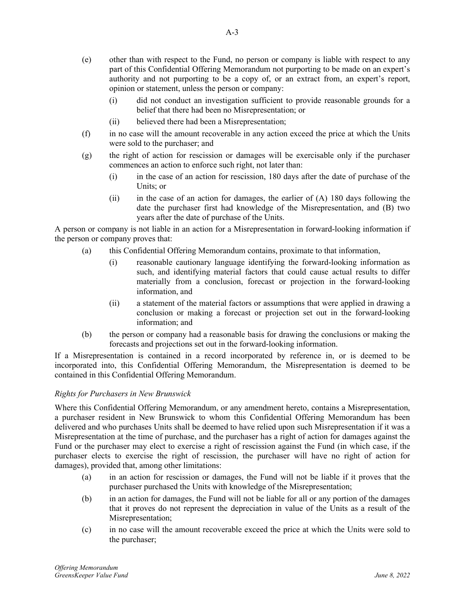- (i) did not conduct an investigation sufficient to provide reasonable grounds for a belief that there had been no Misrepresentation; or
- (ii) believed there had been a Misrepresentation;
- (f) in no case will the amount recoverable in any action exceed the price at which the Units were sold to the purchaser; and
- (g) the right of action for rescission or damages will be exercisable only if the purchaser commences an action to enforce such right, not later than:
	- (i) in the case of an action for rescission, 180 days after the date of purchase of the Units; or
	- (ii) in the case of an action for damages, the earlier of (A) 180 days following the date the purchaser first had knowledge of the Misrepresentation, and (B) two years after the date of purchase of the Units.

A person or company is not liable in an action for a Misrepresentation in forward-looking information if the person or company proves that:

- (a) this Confidential Offering Memorandum contains, proximate to that information,
	- (i) reasonable cautionary language identifying the forward-looking information as such, and identifying material factors that could cause actual results to differ materially from a conclusion, forecast or projection in the forward-looking information, and
	- (ii) a statement of the material factors or assumptions that were applied in drawing a conclusion or making a forecast or projection set out in the forward-looking information; and
- (b) the person or company had a reasonable basis for drawing the conclusions or making the forecasts and projections set out in the forward-looking information.

If a Misrepresentation is contained in a record incorporated by reference in, or is deemed to be incorporated into, this Confidential Offering Memorandum, the Misrepresentation is deemed to be contained in this Confidential Offering Memorandum.

# *Rights for Purchasers in New Brunswick*

Where this Confidential Offering Memorandum, or any amendment hereto, contains a Misrepresentation, a purchaser resident in New Brunswick to whom this Confidential Offering Memorandum has been delivered and who purchases Units shall be deemed to have relied upon such Misrepresentation if it was a Misrepresentation at the time of purchase, and the purchaser has a right of action for damages against the Fund or the purchaser may elect to exercise a right of rescission against the Fund (in which case, if the purchaser elects to exercise the right of rescission, the purchaser will have no right of action for damages), provided that, among other limitations:

- (a) in an action for rescission or damages, the Fund will not be liable if it proves that the purchaser purchased the Units with knowledge of the Misrepresentation;
- (b) in an action for damages, the Fund will not be liable for all or any portion of the damages that it proves do not represent the depreciation in value of the Units as a result of the Misrepresentation;
- (c) in no case will the amount recoverable exceed the price at which the Units were sold to the purchaser;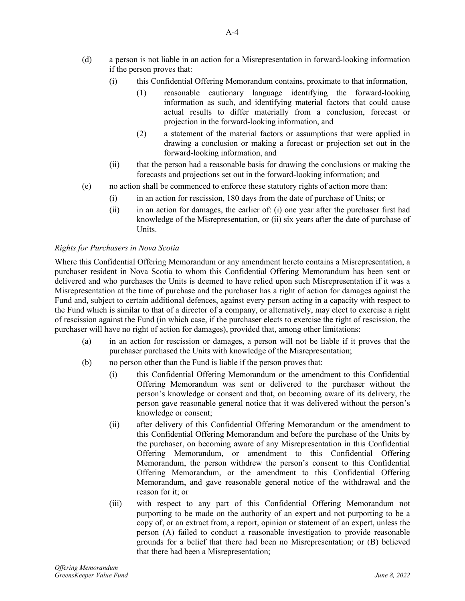- (d) a person is not liable in an action for a Misrepresentation in forward-looking information if the person proves that:
	- (i) this Confidential Offering Memorandum contains, proximate to that information,
		- (1) reasonable cautionary language identifying the forward-looking information as such, and identifying material factors that could cause actual results to differ materially from a conclusion, forecast or projection in the forward-looking information, and
		- (2) a statement of the material factors or assumptions that were applied in drawing a conclusion or making a forecast or projection set out in the forward-looking information, and
	- (ii) that the person had a reasonable basis for drawing the conclusions or making the forecasts and projections set out in the forward-looking information; and
- (e) no action shall be commenced to enforce these statutory rights of action more than:
	- (i) in an action for rescission, 180 days from the date of purchase of Units; or
	- (ii) in an action for damages, the earlier of: (i) one year after the purchaser first had knowledge of the Misrepresentation, or (ii) six years after the date of purchase of Units.

### *Rights for Purchasers in Nova Scotia*

Where this Confidential Offering Memorandum or any amendment hereto contains a Misrepresentation, a purchaser resident in Nova Scotia to whom this Confidential Offering Memorandum has been sent or delivered and who purchases the Units is deemed to have relied upon such Misrepresentation if it was a Misrepresentation at the time of purchase and the purchaser has a right of action for damages against the Fund and, subject to certain additional defences, against every person acting in a capacity with respect to the Fund which is similar to that of a director of a company, or alternatively, may elect to exercise a right of rescission against the Fund (in which case, if the purchaser elects to exercise the right of rescission, the purchaser will have no right of action for damages), provided that, among other limitations:

- (a) in an action for rescission or damages, a person will not be liable if it proves that the purchaser purchased the Units with knowledge of the Misrepresentation;
- (b) no person other than the Fund is liable if the person proves that:
	- (i) this Confidential Offering Memorandum or the amendment to this Confidential Offering Memorandum was sent or delivered to the purchaser without the person's knowledge or consent and that, on becoming aware of its delivery, the person gave reasonable general notice that it was delivered without the person's knowledge or consent;
	- (ii) after delivery of this Confidential Offering Memorandum or the amendment to this Confidential Offering Memorandum and before the purchase of the Units by the purchaser, on becoming aware of any Misrepresentation in this Confidential Offering Memorandum, or amendment to this Confidential Offering Memorandum, the person withdrew the person's consent to this Confidential Offering Memorandum, or the amendment to this Confidential Offering Memorandum, and gave reasonable general notice of the withdrawal and the reason for it; or
	- (iii) with respect to any part of this Confidential Offering Memorandum not purporting to be made on the authority of an expert and not purporting to be a copy of, or an extract from, a report, opinion or statement of an expert, unless the person (A) failed to conduct a reasonable investigation to provide reasonable grounds for a belief that there had been no Misrepresentation; or (B) believed that there had been a Misrepresentation;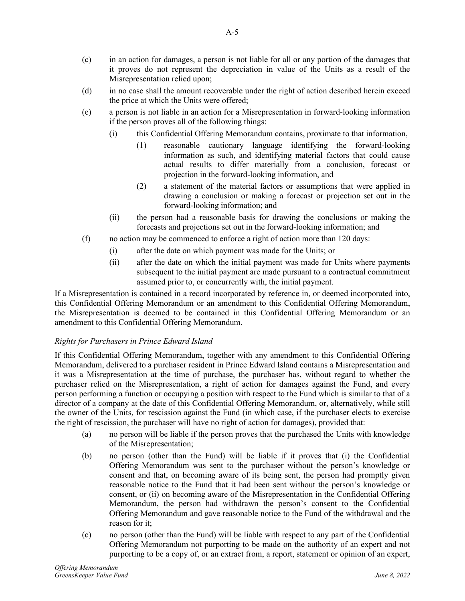- (c) in an action for damages, a person is not liable for all or any portion of the damages that it proves do not represent the depreciation in value of the Units as a result of the Misrepresentation relied upon;
- (d) in no case shall the amount recoverable under the right of action described herein exceed the price at which the Units were offered;
- (e) a person is not liable in an action for a Misrepresentation in forward-looking information if the person proves all of the following things:
	- (i) this Confidential Offering Memorandum contains, proximate to that information,
		- (1) reasonable cautionary language identifying the forward-looking information as such, and identifying material factors that could cause actual results to differ materially from a conclusion, forecast or projection in the forward-looking information, and
		- (2) a statement of the material factors or assumptions that were applied in drawing a conclusion or making a forecast or projection set out in the forward-looking information; and
	- (ii) the person had a reasonable basis for drawing the conclusions or making the forecasts and projections set out in the forward-looking information; and
- (f) no action may be commenced to enforce a right of action more than 120 days:
	- (i) after the date on which payment was made for the Units; or
	- (ii) after the date on which the initial payment was made for Units where payments subsequent to the initial payment are made pursuant to a contractual commitment assumed prior to, or concurrently with, the initial payment.

If a Misrepresentation is contained in a record incorporated by reference in, or deemed incorporated into, this Confidential Offering Memorandum or an amendment to this Confidential Offering Memorandum, the Misrepresentation is deemed to be contained in this Confidential Offering Memorandum or an amendment to this Confidential Offering Memorandum.

# *Rights for Purchasers in Prince Edward Island*

If this Confidential Offering Memorandum, together with any amendment to this Confidential Offering Memorandum, delivered to a purchaser resident in Prince Edward Island contains a Misrepresentation and it was a Misrepresentation at the time of purchase, the purchaser has, without regard to whether the purchaser relied on the Misrepresentation, a right of action for damages against the Fund, and every person performing a function or occupying a position with respect to the Fund which is similar to that of a director of a company at the date of this Confidential Offering Memorandum, or, alternatively, while still the owner of the Units, for rescission against the Fund (in which case, if the purchaser elects to exercise the right of rescission, the purchaser will have no right of action for damages), provided that:

- (a) no person will be liable if the person proves that the purchased the Units with knowledge of the Misrepresentation;
- (b) no person (other than the Fund) will be liable if it proves that (i) the Confidential Offering Memorandum was sent to the purchaser without the person's knowledge or consent and that, on becoming aware of its being sent, the person had promptly given reasonable notice to the Fund that it had been sent without the person's knowledge or consent, or (ii) on becoming aware of the Misrepresentation in the Confidential Offering Memorandum, the person had withdrawn the person's consent to the Confidential Offering Memorandum and gave reasonable notice to the Fund of the withdrawal and the reason for it;
- (c) no person (other than the Fund) will be liable with respect to any part of the Confidential Offering Memorandum not purporting to be made on the authority of an expert and not purporting to be a copy of, or an extract from, a report, statement or opinion of an expert,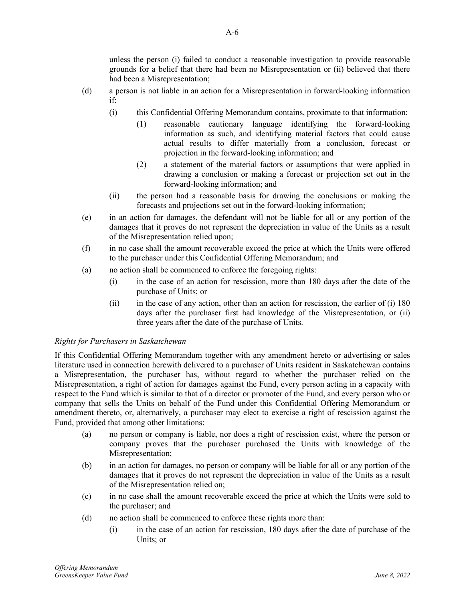unless the person (i) failed to conduct a reasonable investigation to provide reasonable grounds for a belief that there had been no Misrepresentation or (ii) believed that there had been a Misrepresentation;

- (d) a person is not liable in an action for a Misrepresentation in forward-looking information if:
	- (i) this Confidential Offering Memorandum contains, proximate to that information:
		- (1) reasonable cautionary language identifying the forward-looking information as such, and identifying material factors that could cause actual results to differ materially from a conclusion, forecast or projection in the forward-looking information; and
		- (2) a statement of the material factors or assumptions that were applied in drawing a conclusion or making a forecast or projection set out in the forward-looking information; and
	- (ii) the person had a reasonable basis for drawing the conclusions or making the forecasts and projections set out in the forward-looking information;
- (e) in an action for damages, the defendant will not be liable for all or any portion of the damages that it proves do not represent the depreciation in value of the Units as a result of the Misrepresentation relied upon;
- (f) in no case shall the amount recoverable exceed the price at which the Units were offered to the purchaser under this Confidential Offering Memorandum; and
- (a) no action shall be commenced to enforce the foregoing rights:
	- (i) in the case of an action for rescission, more than 180 days after the date of the purchase of Units; or
	- (ii) in the case of any action, other than an action for rescission, the earlier of (i) 180 days after the purchaser first had knowledge of the Misrepresentation, or (ii) three years after the date of the purchase of Units.

# *Rights for Purchasers in Saskatchewan*

If this Confidential Offering Memorandum together with any amendment hereto or advertising or sales literature used in connection herewith delivered to a purchaser of Units resident in Saskatchewan contains a Misrepresentation, the purchaser has, without regard to whether the purchaser relied on the Misrepresentation, a right of action for damages against the Fund, every person acting in a capacity with respect to the Fund which is similar to that of a director or promoter of the Fund, and every person who or company that sells the Units on behalf of the Fund under this Confidential Offering Memorandum or amendment thereto, or, alternatively, a purchaser may elect to exercise a right of rescission against the Fund, provided that among other limitations:

- (a) no person or company is liable, nor does a right of rescission exist, where the person or company proves that the purchaser purchased the Units with knowledge of the Misrepresentation;
- (b) in an action for damages, no person or company will be liable for all or any portion of the damages that it proves do not represent the depreciation in value of the Units as a result of the Misrepresentation relied on;
- (c) in no case shall the amount recoverable exceed the price at which the Units were sold to the purchaser; and
- (d) no action shall be commenced to enforce these rights more than:
	- (i) in the case of an action for rescission, 180 days after the date of purchase of the Units; or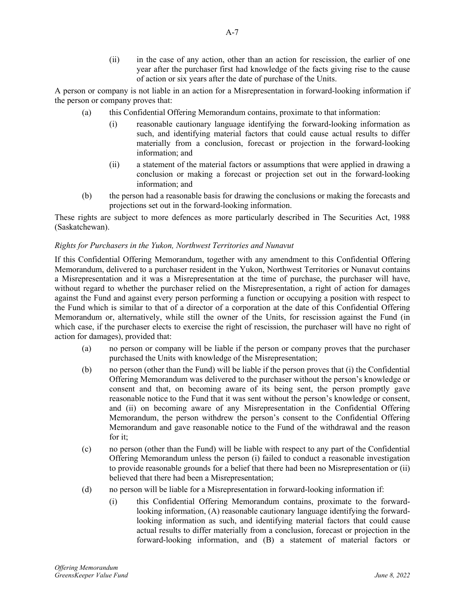(ii) in the case of any action, other than an action for rescission, the earlier of one year after the purchaser first had knowledge of the facts giving rise to the cause of action or six years after the date of purchase of the Units.

A person or company is not liable in an action for a Misrepresentation in forward-looking information if the person or company proves that:

- (a) this Confidential Offering Memorandum contains, proximate to that information:
	- (i) reasonable cautionary language identifying the forward-looking information as such, and identifying material factors that could cause actual results to differ materially from a conclusion, forecast or projection in the forward-looking information; and
	- (ii) a statement of the material factors or assumptions that were applied in drawing a conclusion or making a forecast or projection set out in the forward-looking information; and
- (b) the person had a reasonable basis for drawing the conclusions or making the forecasts and projections set out in the forward-looking information.

These rights are subject to more defences as more particularly described in The Securities Act, 1988 (Saskatchewan).

### *Rights for Purchasers in the Yukon, Northwest Territories and Nunavut*

If this Confidential Offering Memorandum, together with any amendment to this Confidential Offering Memorandum, delivered to a purchaser resident in the Yukon, Northwest Territories or Nunavut contains a Misrepresentation and it was a Misrepresentation at the time of purchase, the purchaser will have, without regard to whether the purchaser relied on the Misrepresentation, a right of action for damages against the Fund and against every person performing a function or occupying a position with respect to the Fund which is similar to that of a director of a corporation at the date of this Confidential Offering Memorandum or, alternatively, while still the owner of the Units, for rescission against the Fund (in which case, if the purchaser elects to exercise the right of rescission, the purchaser will have no right of action for damages), provided that:

- (a) no person or company will be liable if the person or company proves that the purchaser purchased the Units with knowledge of the Misrepresentation;
- (b) no person (other than the Fund) will be liable if the person proves that (i) the Confidential Offering Memorandum was delivered to the purchaser without the person's knowledge or consent and that, on becoming aware of its being sent, the person promptly gave reasonable notice to the Fund that it was sent without the person's knowledge or consent, and (ii) on becoming aware of any Misrepresentation in the Confidential Offering Memorandum, the person withdrew the person's consent to the Confidential Offering Memorandum and gave reasonable notice to the Fund of the withdrawal and the reason for it;
- (c) no person (other than the Fund) will be liable with respect to any part of the Confidential Offering Memorandum unless the person (i) failed to conduct a reasonable investigation to provide reasonable grounds for a belief that there had been no Misrepresentation or (ii) believed that there had been a Misrepresentation;
- (d) no person will be liable for a Misrepresentation in forward-looking information if:
	- (i) this Confidential Offering Memorandum contains, proximate to the forwardlooking information, (A) reasonable cautionary language identifying the forwardlooking information as such, and identifying material factors that could cause actual results to differ materially from a conclusion, forecast or projection in the forward-looking information, and (B) a statement of material factors or